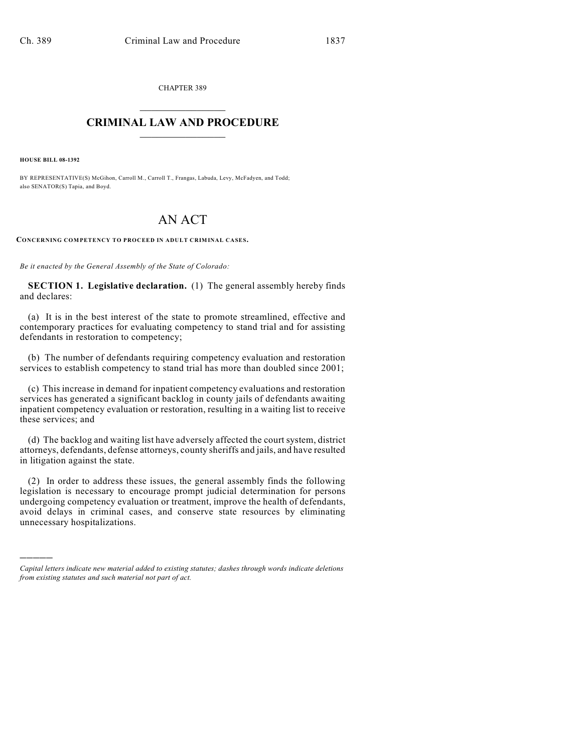CHAPTER 389  $\mathcal{L}_\text{max}$  . The set of the set of the set of the set of the set of the set of the set of the set of the set of the set of the set of the set of the set of the set of the set of the set of the set of the set of the set

## **CRIMINAL LAW AND PROCEDURE**  $\frac{1}{2}$  ,  $\frac{1}{2}$  ,  $\frac{1}{2}$  ,  $\frac{1}{2}$  ,  $\frac{1}{2}$  ,  $\frac{1}{2}$  ,  $\frac{1}{2}$

**HOUSE BILL 08-1392**

)))))

BY REPRESENTATIVE(S) McGihon, Carroll M., Carroll T., Frangas, Labuda, Levy, McFadyen, and Todd; also SENATOR(S) Tapia, and Boyd.

# AN ACT

**CONCERNING COMPETENCY TO PROCEED IN ADULT CRIMINAL CASES.**

*Be it enacted by the General Assembly of the State of Colorado:*

**SECTION 1. Legislative declaration.** (1) The general assembly hereby finds and declares:

(a) It is in the best interest of the state to promote streamlined, effective and contemporary practices for evaluating competency to stand trial and for assisting defendants in restoration to competency;

(b) The number of defendants requiring competency evaluation and restoration services to establish competency to stand trial has more than doubled since 2001;

(c) This increase in demand for inpatient competency evaluations and restoration services has generated a significant backlog in county jails of defendants awaiting inpatient competency evaluation or restoration, resulting in a waiting list to receive these services; and

(d) The backlog and waiting list have adversely affected the court system, district attorneys, defendants, defense attorneys, county sheriffs and jails, and have resulted in litigation against the state.

(2) In order to address these issues, the general assembly finds the following legislation is necessary to encourage prompt judicial determination for persons undergoing competency evaluation or treatment, improve the health of defendants, avoid delays in criminal cases, and conserve state resources by eliminating unnecessary hospitalizations.

*Capital letters indicate new material added to existing statutes; dashes through words indicate deletions from existing statutes and such material not part of act.*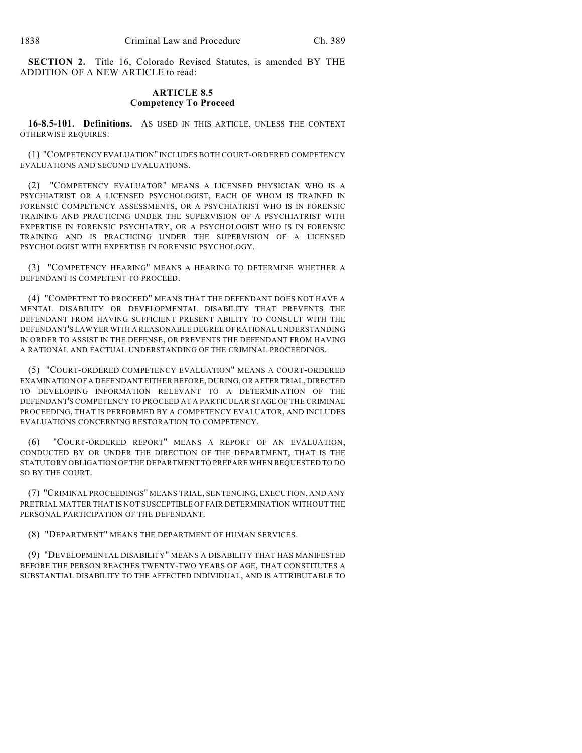**SECTION 2.** Title 16, Colorado Revised Statutes, is amended BY THE ADDITION OF A NEW ARTICLE to read:

## **ARTICLE 8.5 Competency To Proceed**

**16-8.5-101. Definitions.** AS USED IN THIS ARTICLE, UNLESS THE CONTEXT OTHERWISE REQUIRES:

(1) "COMPETENCY EVALUATION" INCLUDES BOTH COURT-ORDERED COMPETENCY EVALUATIONS AND SECOND EVALUATIONS.

(2) "COMPETENCY EVALUATOR" MEANS A LICENSED PHYSICIAN WHO IS A PSYCHIATRIST OR A LICENSED PSYCHOLOGIST, EACH OF WHOM IS TRAINED IN FORENSIC COMPETENCY ASSESSMENTS, OR A PSYCHIATRIST WHO IS IN FORENSIC TRAINING AND PRACTICING UNDER THE SUPERVISION OF A PSYCHIATRIST WITH EXPERTISE IN FORENSIC PSYCHIATRY, OR A PSYCHOLOGIST WHO IS IN FORENSIC TRAINING AND IS PRACTICING UNDER THE SUPERVISION OF A LICENSED PSYCHOLOGIST WITH EXPERTISE IN FORENSIC PSYCHOLOGY.

(3) "COMPETENCY HEARING" MEANS A HEARING TO DETERMINE WHETHER A DEFENDANT IS COMPETENT TO PROCEED.

(4) "COMPETENT TO PROCEED" MEANS THAT THE DEFENDANT DOES NOT HAVE A MENTAL DISABILITY OR DEVELOPMENTAL DISABILITY THAT PREVENTS THE DEFENDANT FROM HAVING SUFFICIENT PRESENT ABILITY TO CONSULT WITH THE DEFENDANT'S LAWYER WITH A REASONABLE DEGREE OF RATIONAL UNDERSTANDING IN ORDER TO ASSIST IN THE DEFENSE, OR PREVENTS THE DEFENDANT FROM HAVING A RATIONAL AND FACTUAL UNDERSTANDING OF THE CRIMINAL PROCEEDINGS.

(5) "COURT-ORDERED COMPETENCY EVALUATION" MEANS A COURT-ORDERED EXAMINATION OF A DEFENDANT EITHER BEFORE, DURING, OR AFTER TRIAL, DIRECTED TO DEVELOPING INFORMATION RELEVANT TO A DETERMINATION OF THE DEFENDANT'S COMPETENCY TO PROCEED AT A PARTICULAR STAGE OF THE CRIMINAL PROCEEDING, THAT IS PERFORMED BY A COMPETENCY EVALUATOR, AND INCLUDES EVALUATIONS CONCERNING RESTORATION TO COMPETENCY.

(6) "COURT-ORDERED REPORT" MEANS A REPORT OF AN EVALUATION, CONDUCTED BY OR UNDER THE DIRECTION OF THE DEPARTMENT, THAT IS THE STATUTORY OBLIGATION OF THE DEPARTMENT TO PREPARE WHEN REQUESTED TO DO SO BY THE COURT.

(7) "CRIMINAL PROCEEDINGS" MEANS TRIAL, SENTENCING, EXECUTION, AND ANY PRETRIAL MATTER THAT IS NOT SUSCEPTIBLE OF FAIR DETERMINATION WITHOUT THE PERSONAL PARTICIPATION OF THE DEFENDANT.

(8) "DEPARTMENT" MEANS THE DEPARTMENT OF HUMAN SERVICES.

(9) "DEVELOPMENTAL DISABILITY" MEANS A DISABILITY THAT HAS MANIFESTED BEFORE THE PERSON REACHES TWENTY-TWO YEARS OF AGE, THAT CONSTITUTES A SUBSTANTIAL DISABILITY TO THE AFFECTED INDIVIDUAL, AND IS ATTRIBUTABLE TO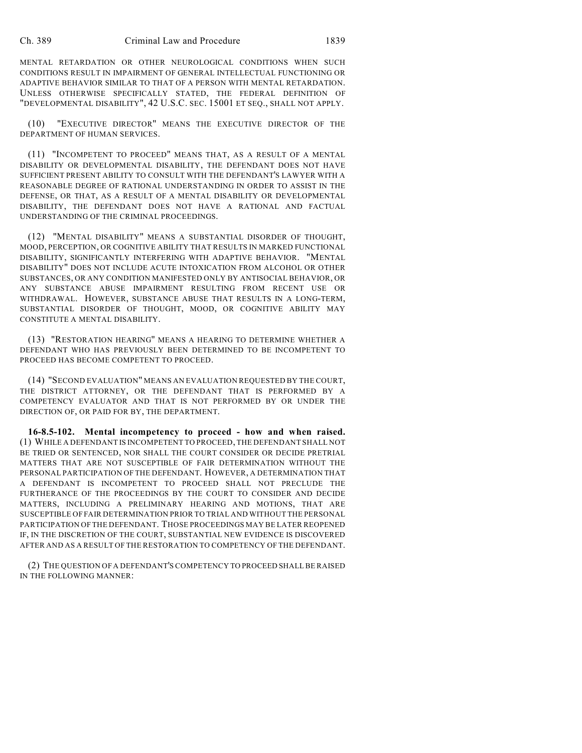MENTAL RETARDATION OR OTHER NEUROLOGICAL CONDITIONS WHEN SUCH CONDITIONS RESULT IN IMPAIRMENT OF GENERAL INTELLECTUAL FUNCTIONING OR ADAPTIVE BEHAVIOR SIMILAR TO THAT OF A PERSON WITH MENTAL RETARDATION. UNLESS OTHERWISE SPECIFICALLY STATED, THE FEDERAL DEFINITION OF "DEVELOPMENTAL DISABILITY", 42 U.S.C. SEC. 15001 ET SEQ., SHALL NOT APPLY.

(10) "EXECUTIVE DIRECTOR" MEANS THE EXECUTIVE DIRECTOR OF THE DEPARTMENT OF HUMAN SERVICES.

(11) "INCOMPETENT TO PROCEED" MEANS THAT, AS A RESULT OF A MENTAL DISABILITY OR DEVELOPMENTAL DISABILITY, THE DEFENDANT DOES NOT HAVE SUFFICIENT PRESENT ABILITY TO CONSULT WITH THE DEFENDANT'S LAWYER WITH A REASONABLE DEGREE OF RATIONAL UNDERSTANDING IN ORDER TO ASSIST IN THE DEFENSE, OR THAT, AS A RESULT OF A MENTAL DISABILITY OR DEVELOPMENTAL DISABILITY, THE DEFENDANT DOES NOT HAVE A RATIONAL AND FACTUAL UNDERSTANDING OF THE CRIMINAL PROCEEDINGS.

(12) "MENTAL DISABILITY" MEANS A SUBSTANTIAL DISORDER OF THOUGHT, MOOD, PERCEPTION, OR COGNITIVE ABILITY THAT RESULTS IN MARKED FUNCTIONAL DISABILITY, SIGNIFICANTLY INTERFERING WITH ADAPTIVE BEHAVIOR. "MENTAL DISABILITY" DOES NOT INCLUDE ACUTE INTOXICATION FROM ALCOHOL OR OTHER SUBSTANCES, OR ANY CONDITION MANIFESTED ONLY BY ANTISOCIAL BEHAVIOR, OR ANY SUBSTANCE ABUSE IMPAIRMENT RESULTING FROM RECENT USE OR WITHDRAWAL. HOWEVER, SUBSTANCE ABUSE THAT RESULTS IN A LONG-TERM, SUBSTANTIAL DISORDER OF THOUGHT, MOOD, OR COGNITIVE ABILITY MAY CONSTITUTE A MENTAL DISABILITY.

(13) "RESTORATION HEARING" MEANS A HEARING TO DETERMINE WHETHER A DEFENDANT WHO HAS PREVIOUSLY BEEN DETERMINED TO BE INCOMPETENT TO PROCEED HAS BECOME COMPETENT TO PROCEED.

(14) "SECOND EVALUATION" MEANS AN EVALUATION REQUESTED BY THE COURT, THE DISTRICT ATTORNEY, OR THE DEFENDANT THAT IS PERFORMED BY A COMPETENCY EVALUATOR AND THAT IS NOT PERFORMED BY OR UNDER THE DIRECTION OF, OR PAID FOR BY, THE DEPARTMENT.

**16-8.5-102. Mental incompetency to proceed - how and when raised.** (1) WHILE A DEFENDANT IS INCOMPETENT TO PROCEED, THE DEFENDANT SHALL NOT BE TRIED OR SENTENCED, NOR SHALL THE COURT CONSIDER OR DECIDE PRETRIAL MATTERS THAT ARE NOT SUSCEPTIBLE OF FAIR DETERMINATION WITHOUT THE PERSONAL PARTICIPATION OF THE DEFENDANT. HOWEVER, A DETERMINATION THAT A DEFENDANT IS INCOMPETENT TO PROCEED SHALL NOT PRECLUDE THE FURTHERANCE OF THE PROCEEDINGS BY THE COURT TO CONSIDER AND DECIDE MATTERS, INCLUDING A PRELIMINARY HEARING AND MOTIONS, THAT ARE SUSCEPTIBLE OF FAIR DETERMINATION PRIOR TO TRIAL AND WITHOUT THE PERSONAL PARTICIPATION OF THE DEFENDANT. THOSE PROCEEDINGS MAY BE LATER REOPENED IF, IN THE DISCRETION OF THE COURT, SUBSTANTIAL NEW EVIDENCE IS DISCOVERED AFTER AND AS A RESULT OF THE RESTORATION TO COMPETENCY OF THE DEFENDANT.

(2) THE QUESTION OF A DEFENDANT'S COMPETENCY TO PROCEED SHALL BE RAISED IN THE FOLLOWING MANNER: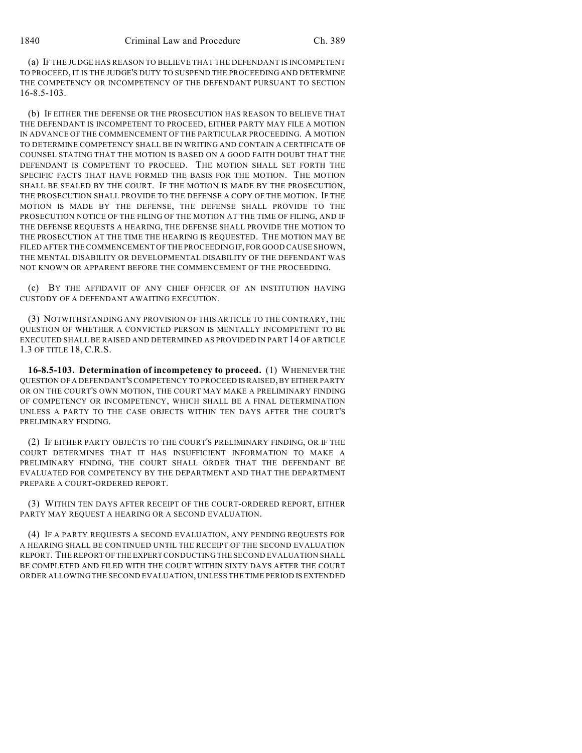(a) IF THE JUDGE HAS REASON TO BELIEVE THAT THE DEFENDANT IS INCOMPETENT TO PROCEED, IT IS THE JUDGE'S DUTY TO SUSPEND THE PROCEEDING AND DETERMINE THE COMPETENCY OR INCOMPETENCY OF THE DEFENDANT PURSUANT TO SECTION 16-8.5-103.

(b) IF EITHER THE DEFENSE OR THE PROSECUTION HAS REASON TO BELIEVE THAT THE DEFENDANT IS INCOMPETENT TO PROCEED, EITHER PARTY MAY FILE A MOTION IN ADVANCE OF THE COMMENCEMENT OF THE PARTICULAR PROCEEDING. A MOTION TO DETERMINE COMPETENCY SHALL BE IN WRITING AND CONTAIN A CERTIFICATE OF COUNSEL STATING THAT THE MOTION IS BASED ON A GOOD FAITH DOUBT THAT THE DEFENDANT IS COMPETENT TO PROCEED. THE MOTION SHALL SET FORTH THE SPECIFIC FACTS THAT HAVE FORMED THE BASIS FOR THE MOTION. THE MOTION SHALL BE SEALED BY THE COURT. IF THE MOTION IS MADE BY THE PROSECUTION, THE PROSECUTION SHALL PROVIDE TO THE DEFENSE A COPY OF THE MOTION. IF THE MOTION IS MADE BY THE DEFENSE, THE DEFENSE SHALL PROVIDE TO THE PROSECUTION NOTICE OF THE FILING OF THE MOTION AT THE TIME OF FILING, AND IF THE DEFENSE REQUESTS A HEARING, THE DEFENSE SHALL PROVIDE THE MOTION TO THE PROSECUTION AT THE TIME THE HEARING IS REQUESTED. THE MOTION MAY BE FILED AFTER THE COMMENCEMENT OF THE PROCEEDING IF, FOR GOOD CAUSE SHOWN, THE MENTAL DISABILITY OR DEVELOPMENTAL DISABILITY OF THE DEFENDANT WAS NOT KNOWN OR APPARENT BEFORE THE COMMENCEMENT OF THE PROCEEDING.

(c) BY THE AFFIDAVIT OF ANY CHIEF OFFICER OF AN INSTITUTION HAVING CUSTODY OF A DEFENDANT AWAITING EXECUTION.

(3) NOTWITHSTANDING ANY PROVISION OF THIS ARTICLE TO THE CONTRARY, THE QUESTION OF WHETHER A CONVICTED PERSON IS MENTALLY INCOMPETENT TO BE EXECUTED SHALL BE RAISED AND DETERMINED AS PROVIDED IN PART 14 OF ARTICLE 1.3 OF TITLE 18, C.R.S.

**16-8.5-103. Determination of incompetency to proceed.** (1) WHENEVER THE QUESTION OF A DEFENDANT'S COMPETENCY TO PROCEED IS RAISED, BY EITHER PARTY OR ON THE COURT'S OWN MOTION, THE COURT MAY MAKE A PRELIMINARY FINDING OF COMPETENCY OR INCOMPETENCY, WHICH SHALL BE A FINAL DETERMINATION UNLESS A PARTY TO THE CASE OBJECTS WITHIN TEN DAYS AFTER THE COURT'S PRELIMINARY FINDING.

(2) IF EITHER PARTY OBJECTS TO THE COURT'S PRELIMINARY FINDING, OR IF THE COURT DETERMINES THAT IT HAS INSUFFICIENT INFORMATION TO MAKE A PRELIMINARY FINDING, THE COURT SHALL ORDER THAT THE DEFENDANT BE EVALUATED FOR COMPETENCY BY THE DEPARTMENT AND THAT THE DEPARTMENT PREPARE A COURT-ORDERED REPORT.

(3) WITHIN TEN DAYS AFTER RECEIPT OF THE COURT-ORDERED REPORT, EITHER PARTY MAY REQUEST A HEARING OR A SECOND EVALUATION.

(4) IF A PARTY REQUESTS A SECOND EVALUATION, ANY PENDING REQUESTS FOR A HEARING SHALL BE CONTINUED UNTIL THE RECEIPT OF THE SECOND EVALUATION REPORT. THE REPORT OF THE EXPERT CONDUCTING THE SECOND EVALUATION SHALL BE COMPLETED AND FILED WITH THE COURT WITHIN SIXTY DAYS AFTER THE COURT ORDER ALLOWING THE SECOND EVALUATION, UNLESS THE TIME PERIOD IS EXTENDED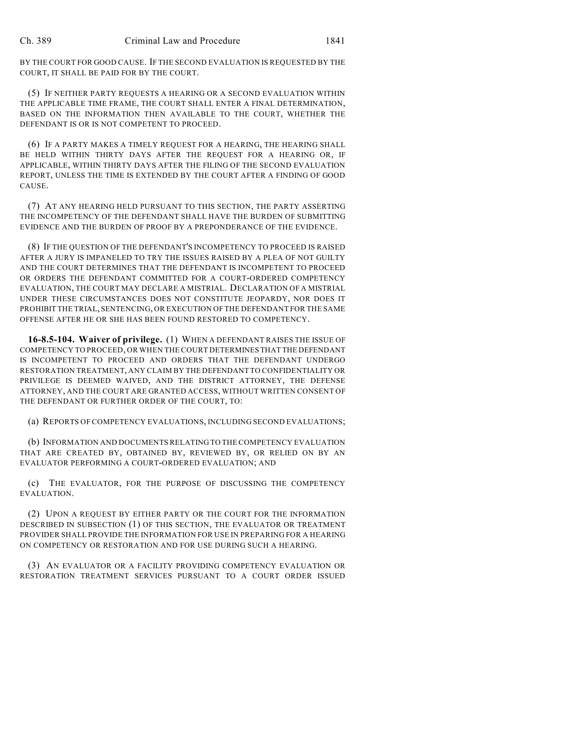BY THE COURT FOR GOOD CAUSE. IF THE SECOND EVALUATION IS REQUESTED BY THE COURT, IT SHALL BE PAID FOR BY THE COURT.

(5) IF NEITHER PARTY REQUESTS A HEARING OR A SECOND EVALUATION WITHIN THE APPLICABLE TIME FRAME, THE COURT SHALL ENTER A FINAL DETERMINATION, BASED ON THE INFORMATION THEN AVAILABLE TO THE COURT, WHETHER THE DEFENDANT IS OR IS NOT COMPETENT TO PROCEED.

(6) IF A PARTY MAKES A TIMELY REQUEST FOR A HEARING, THE HEARING SHALL BE HELD WITHIN THIRTY DAYS AFTER THE REQUEST FOR A HEARING OR, IF APPLICABLE, WITHIN THIRTY DAYS AFTER THE FILING OF THE SECOND EVALUATION REPORT, UNLESS THE TIME IS EXTENDED BY THE COURT AFTER A FINDING OF GOOD CAUSE.

(7) AT ANY HEARING HELD PURSUANT TO THIS SECTION, THE PARTY ASSERTING THE INCOMPETENCY OF THE DEFENDANT SHALL HAVE THE BURDEN OF SUBMITTING EVIDENCE AND THE BURDEN OF PROOF BY A PREPONDERANCE OF THE EVIDENCE.

(8) IF THE QUESTION OF THE DEFENDANT'S INCOMPETENCY TO PROCEED IS RAISED AFTER A JURY IS IMPANELED TO TRY THE ISSUES RAISED BY A PLEA OF NOT GUILTY AND THE COURT DETERMINES THAT THE DEFENDANT IS INCOMPETENT TO PROCEED OR ORDERS THE DEFENDANT COMMITTED FOR A COURT-ORDERED COMPETENCY EVALUATION, THE COURT MAY DECLARE A MISTRIAL. DECLARATION OF A MISTRIAL UNDER THESE CIRCUMSTANCES DOES NOT CONSTITUTE JEOPARDY, NOR DOES IT PROHIBIT THE TRIAL, SENTENCING, OR EXECUTION OF THE DEFENDANT FOR THE SAME OFFENSE AFTER HE OR SHE HAS BEEN FOUND RESTORED TO COMPETENCY.

**16-8.5-104. Waiver of privilege.** (1) WHEN A DEFENDANT RAISES THE ISSUE OF COMPETENCY TO PROCEED, OR WHEN THE COURT DETERMINES THAT THE DEFENDANT IS INCOMPETENT TO PROCEED AND ORDERS THAT THE DEFENDANT UNDERGO RESTORATION TREATMENT, ANY CLAIM BY THE DEFENDANT TO CONFIDENTIALITY OR PRIVILEGE IS DEEMED WAIVED, AND THE DISTRICT ATTORNEY, THE DEFENSE ATTORNEY, AND THE COURT ARE GRANTED ACCESS, WITHOUT WRITTEN CONSENT OF THE DEFENDANT OR FURTHER ORDER OF THE COURT, TO:

(a) REPORTS OF COMPETENCY EVALUATIONS, INCLUDING SECOND EVALUATIONS;

(b) INFORMATION AND DOCUMENTS RELATING TO THE COMPETENCY EVALUATION THAT ARE CREATED BY, OBTAINED BY, REVIEWED BY, OR RELIED ON BY AN EVALUATOR PERFORMING A COURT-ORDERED EVALUATION; AND

(c) THE EVALUATOR, FOR THE PURPOSE OF DISCUSSING THE COMPETENCY EVALUATION.

(2) UPON A REQUEST BY EITHER PARTY OR THE COURT FOR THE INFORMATION DESCRIBED IN SUBSECTION (1) OF THIS SECTION, THE EVALUATOR OR TREATMENT PROVIDER SHALL PROVIDE THE INFORMATION FOR USE IN PREPARING FOR A HEARING ON COMPETENCY OR RESTORATION AND FOR USE DURING SUCH A HEARING.

(3) AN EVALUATOR OR A FACILITY PROVIDING COMPETENCY EVALUATION OR RESTORATION TREATMENT SERVICES PURSUANT TO A COURT ORDER ISSUED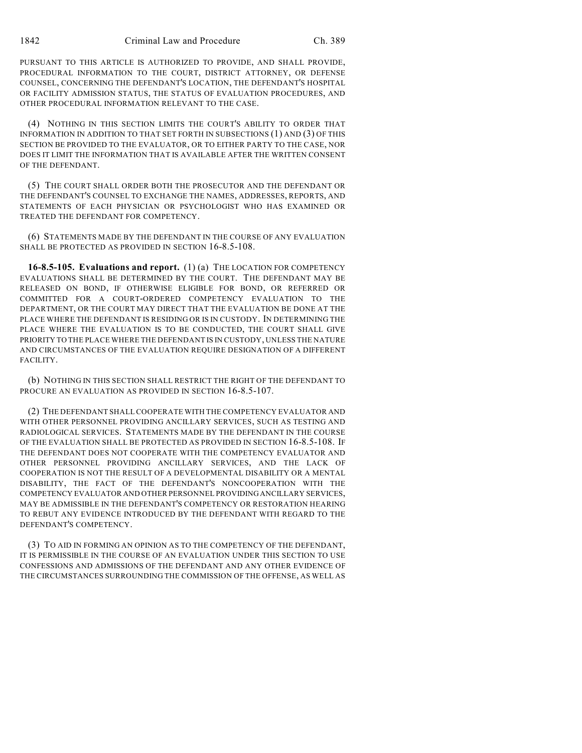PURSUANT TO THIS ARTICLE IS AUTHORIZED TO PROVIDE, AND SHALL PROVIDE, PROCEDURAL INFORMATION TO THE COURT, DISTRICT ATTORNEY, OR DEFENSE COUNSEL, CONCERNING THE DEFENDANT'S LOCATION, THE DEFENDANT'S HOSPITAL OR FACILITY ADMISSION STATUS, THE STATUS OF EVALUATION PROCEDURES, AND OTHER PROCEDURAL INFORMATION RELEVANT TO THE CASE.

(4) NOTHING IN THIS SECTION LIMITS THE COURT'S ABILITY TO ORDER THAT INFORMATION IN ADDITION TO THAT SET FORTH IN SUBSECTIONS (1) AND (3) OF THIS SECTION BE PROVIDED TO THE EVALUATOR, OR TO EITHER PARTY TO THE CASE, NOR DOES IT LIMIT THE INFORMATION THAT IS AVAILABLE AFTER THE WRITTEN CONSENT OF THE DEFENDANT.

(5) THE COURT SHALL ORDER BOTH THE PROSECUTOR AND THE DEFENDANT OR THE DEFENDANT'S COUNSEL TO EXCHANGE THE NAMES, ADDRESSES, REPORTS, AND STATEMENTS OF EACH PHYSICIAN OR PSYCHOLOGIST WHO HAS EXAMINED OR TREATED THE DEFENDANT FOR COMPETENCY.

(6) STATEMENTS MADE BY THE DEFENDANT IN THE COURSE OF ANY EVALUATION SHALL BE PROTECTED AS PROVIDED IN SECTION 16-8.5-108.

**16-8.5-105. Evaluations and report.** (1) (a) THE LOCATION FOR COMPETENCY EVALUATIONS SHALL BE DETERMINED BY THE COURT. THE DEFENDANT MAY BE RELEASED ON BOND, IF OTHERWISE ELIGIBLE FOR BOND, OR REFERRED OR COMMITTED FOR A COURT-ORDERED COMPETENCY EVALUATION TO THE DEPARTMENT, OR THE COURT MAY DIRECT THAT THE EVALUATION BE DONE AT THE PLACE WHERE THE DEFENDANT IS RESIDING OR IS IN CUSTODY. IN DETERMINING THE PLACE WHERE THE EVALUATION IS TO BE CONDUCTED, THE COURT SHALL GIVE PRIORITY TO THE PLACE WHERE THE DEFENDANT IS IN CUSTODY, UNLESS THE NATURE AND CIRCUMSTANCES OF THE EVALUATION REQUIRE DESIGNATION OF A DIFFERENT FACILITY.

(b) NOTHING IN THIS SECTION SHALL RESTRICT THE RIGHT OF THE DEFENDANT TO PROCURE AN EVALUATION AS PROVIDED IN SECTION 16-8.5-107.

(2) THE DEFENDANT SHALL COOPERATE WITH THE COMPETENCY EVALUATOR AND WITH OTHER PERSONNEL PROVIDING ANCILLARY SERVICES, SUCH AS TESTING AND RADIOLOGICAL SERVICES. STATEMENTS MADE BY THE DEFENDANT IN THE COURSE OF THE EVALUATION SHALL BE PROTECTED AS PROVIDED IN SECTION 16-8.5-108. IF THE DEFENDANT DOES NOT COOPERATE WITH THE COMPETENCY EVALUATOR AND OTHER PERSONNEL PROVIDING ANCILLARY SERVICES, AND THE LACK OF COOPERATION IS NOT THE RESULT OF A DEVELOPMENTAL DISABILITY OR A MENTAL DISABILITY, THE FACT OF THE DEFENDANT'S NONCOOPERATION WITH THE COMPETENCY EVALUATOR AND OTHER PERSONNEL PROVIDING ANCILLARY SERVICES, MAY BE ADMISSIBLE IN THE DEFENDANT'S COMPETENCY OR RESTORATION HEARING TO REBUT ANY EVIDENCE INTRODUCED BY THE DEFENDANT WITH REGARD TO THE DEFENDANT'S COMPETENCY.

(3) TO AID IN FORMING AN OPINION AS TO THE COMPETENCY OF THE DEFENDANT, IT IS PERMISSIBLE IN THE COURSE OF AN EVALUATION UNDER THIS SECTION TO USE CONFESSIONS AND ADMISSIONS OF THE DEFENDANT AND ANY OTHER EVIDENCE OF THE CIRCUMSTANCES SURROUNDING THE COMMISSION OF THE OFFENSE, AS WELL AS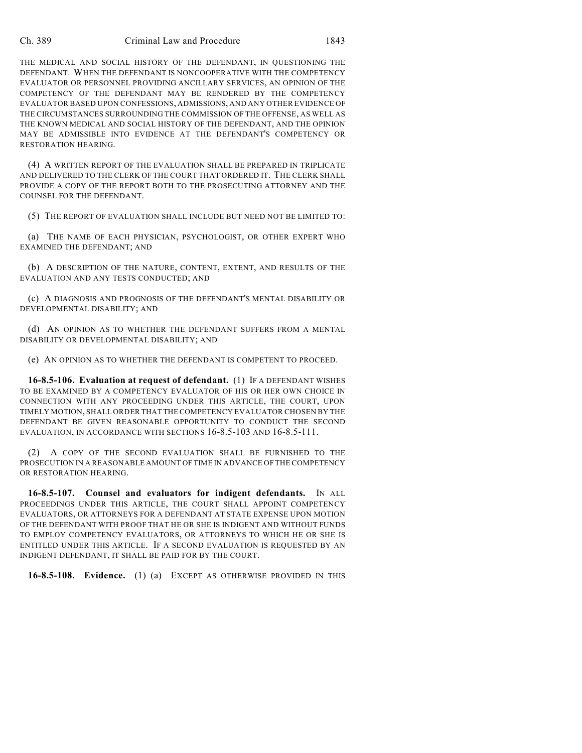#### Ch. 389 Criminal Law and Procedure 1843

THE MEDICAL AND SOCIAL HISTORY OF THE DEFENDANT, IN QUESTIONING THE DEFENDANT. WHEN THE DEFENDANT IS NONCOOPERATIVE WITH THE COMPETENCY EVALUATOR OR PERSONNEL PROVIDING ANCILLARY SERVICES, AN OPINION OF THE COMPETENCY OF THE DEFENDANT MAY BE RENDERED BY THE COMPETENCY EVALUATOR BASED UPON CONFESSIONS, ADMISSIONS, AND ANY OTHER EVIDENCE OF THE CIRCUMSTANCES SURROUNDING THE COMMISSION OF THE OFFENSE, AS WELL AS THE KNOWN MEDICAL AND SOCIAL HISTORY OF THE DEFENDANT, AND THE OPINION MAY BE ADMISSIBLE INTO EVIDENCE AT THE DEFENDANT'S COMPETENCY OR RESTORATION HEARING.

(4) A WRITTEN REPORT OF THE EVALUATION SHALL BE PREPARED IN TRIPLICATE AND DELIVERED TO THE CLERK OF THE COURT THAT ORDERED IT. THE CLERK SHALL PROVIDE A COPY OF THE REPORT BOTH TO THE PROSECUTING ATTORNEY AND THE COUNSEL FOR THE DEFENDANT.

(5) THE REPORT OF EVALUATION SHALL INCLUDE BUT NEED NOT BE LIMITED TO:

(a) THE NAME OF EACH PHYSICIAN, PSYCHOLOGIST, OR OTHER EXPERT WHO EXAMINED THE DEFENDANT; AND

(b) A DESCRIPTION OF THE NATURE, CONTENT, EXTENT, AND RESULTS OF THE EVALUATION AND ANY TESTS CONDUCTED; AND

(c) A DIAGNOSIS AND PROGNOSIS OF THE DEFENDANT'S MENTAL DISABILITY OR DEVELOPMENTAL DISABILITY; AND

(d) AN OPINION AS TO WHETHER THE DEFENDANT SUFFERS FROM A MENTAL DISABILITY OR DEVELOPMENTAL DISABILITY; AND

(e) AN OPINION AS TO WHETHER THE DEFENDANT IS COMPETENT TO PROCEED.

**16-8.5-106. Evaluation at request of defendant.** (1) IF A DEFENDANT WISHES TO BE EXAMINED BY A COMPETENCY EVALUATOR OF HIS OR HER OWN CHOICE IN CONNECTION WITH ANY PROCEEDING UNDER THIS ARTICLE, THE COURT, UPON TIMELY MOTION, SHALL ORDER THAT THE COMPETENCY EVALUATOR CHOSEN BY THE DEFENDANT BE GIVEN REASONABLE OPPORTUNITY TO CONDUCT THE SECOND EVALUATION, IN ACCORDANCE WITH SECTIONS 16-8.5-103 AND 16-8.5-111.

(2) A COPY OF THE SECOND EVALUATION SHALL BE FURNISHED TO THE PROSECUTION IN A REASONABLE AMOUNT OF TIME IN ADVANCE OF THE COMPETENCY OR RESTORATION HEARING.

**16-8.5-107. Counsel and evaluators for indigent defendants.** IN ALL PROCEEDINGS UNDER THIS ARTICLE, THE COURT SHALL APPOINT COMPETENCY EVALUATORS, OR ATTORNEYS FOR A DEFENDANT AT STATE EXPENSE UPON MOTION OF THE DEFENDANT WITH PROOF THAT HE OR SHE IS INDIGENT AND WITHOUT FUNDS TO EMPLOY COMPETENCY EVALUATORS, OR ATTORNEYS TO WHICH HE OR SHE IS ENTITLED UNDER THIS ARTICLE. IF A SECOND EVALUATION IS REQUESTED BY AN INDIGENT DEFENDANT, IT SHALL BE PAID FOR BY THE COURT.

**16-8.5-108. Evidence.** (1) (a) EXCEPT AS OTHERWISE PROVIDED IN THIS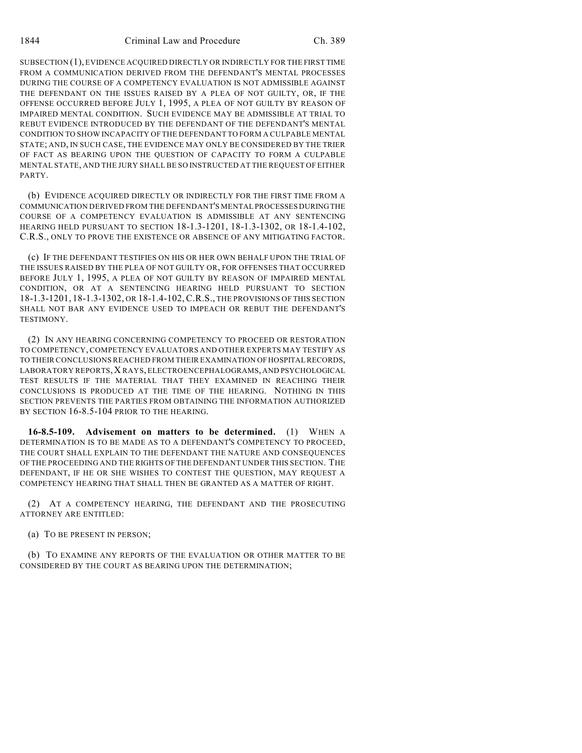SUBSECTION (1), EVIDENCE ACQUIRED DIRECTLY OR INDIRECTLY FOR THE FIRST TIME FROM A COMMUNICATION DERIVED FROM THE DEFENDANT'S MENTAL PROCESSES DURING THE COURSE OF A COMPETENCY EVALUATION IS NOT ADMISSIBLE AGAINST THE DEFENDANT ON THE ISSUES RAISED BY A PLEA OF NOT GUILTY, OR, IF THE OFFENSE OCCURRED BEFORE JULY 1, 1995, A PLEA OF NOT GUILTY BY REASON OF IMPAIRED MENTAL CONDITION. SUCH EVIDENCE MAY BE ADMISSIBLE AT TRIAL TO REBUT EVIDENCE INTRODUCED BY THE DEFENDANT OF THE DEFENDANT'S MENTAL CONDITION TO SHOW INCAPACITY OF THE DEFENDANT TO FORM A CULPABLE MENTAL STATE; AND, IN SUCH CASE, THE EVIDENCE MAY ONLY BE CONSIDERED BY THE TRIER OF FACT AS BEARING UPON THE QUESTION OF CAPACITY TO FORM A CULPABLE MENTAL STATE, AND THE JURY SHALL BE SO INSTRUCTED AT THE REQUEST OF EITHER PARTY.

(b) EVIDENCE ACQUIRED DIRECTLY OR INDIRECTLY FOR THE FIRST TIME FROM A COMMUNICATION DERIVED FROM THE DEFENDANT'S MENTAL PROCESSES DURING THE COURSE OF A COMPETENCY EVALUATION IS ADMISSIBLE AT ANY SENTENCING HEARING HELD PURSUANT TO SECTION 18-1.3-1201, 18-1.3-1302, OR 18-1.4-102, C.R.S., ONLY TO PROVE THE EXISTENCE OR ABSENCE OF ANY MITIGATING FACTOR.

(c) IF THE DEFENDANT TESTIFIES ON HIS OR HER OWN BEHALF UPON THE TRIAL OF THE ISSUES RAISED BY THE PLEA OF NOT GUILTY OR, FOR OFFENSES THAT OCCURRED BEFORE JULY 1, 1995, A PLEA OF NOT GUILTY BY REASON OF IMPAIRED MENTAL CONDITION, OR AT A SENTENCING HEARING HELD PURSUANT TO SECTION 18-1.3-1201, 18-1.3-1302, OR 18-1.4-102,C.R.S., THE PROVISIONS OF THIS SECTION SHALL NOT BAR ANY EVIDENCE USED TO IMPEACH OR REBUT THE DEFENDANT'S **TESTIMONY** 

(2) IN ANY HEARING CONCERNING COMPETENCY TO PROCEED OR RESTORATION TO COMPETENCY, COMPETENCY EVALUATORS AND OTHER EXPERTS MAY TESTIFY AS TO THEIR CONCLUSIONS REACHED FROM THEIR EXAMINATION OF HOSPITAL RECORDS, LABORATORY REPORTS,X RAYS, ELECTROENCEPHALOGRAMS, AND PSYCHOLOGICAL TEST RESULTS IF THE MATERIAL THAT THEY EXAMINED IN REACHING THEIR CONCLUSIONS IS PRODUCED AT THE TIME OF THE HEARING. NOTHING IN THIS SECTION PREVENTS THE PARTIES FROM OBTAINING THE INFORMATION AUTHORIZED BY SECTION 16-8.5-104 PRIOR TO THE HEARING.

**16-8.5-109. Advisement on matters to be determined.** (1) WHEN A DETERMINATION IS TO BE MADE AS TO A DEFENDANT'S COMPETENCY TO PROCEED, THE COURT SHALL EXPLAIN TO THE DEFENDANT THE NATURE AND CONSEQUENCES OF THE PROCEEDING AND THE RIGHTS OF THE DEFENDANT UNDER THIS SECTION. THE DEFENDANT, IF HE OR SHE WISHES TO CONTEST THE QUESTION, MAY REQUEST A COMPETENCY HEARING THAT SHALL THEN BE GRANTED AS A MATTER OF RIGHT.

(2) AT A COMPETENCY HEARING, THE DEFENDANT AND THE PROSECUTING ATTORNEY ARE ENTITLED:

(a) TO BE PRESENT IN PERSON;

(b) TO EXAMINE ANY REPORTS OF THE EVALUATION OR OTHER MATTER TO BE CONSIDERED BY THE COURT AS BEARING UPON THE DETERMINATION;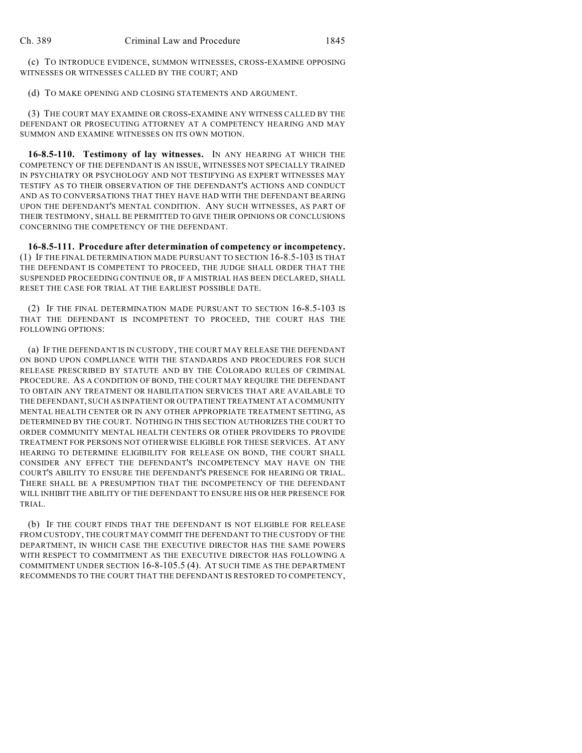(c) TO INTRODUCE EVIDENCE, SUMMON WITNESSES, CROSS-EXAMINE OPPOSING WITNESSES OR WITNESSES CALLED BY THE COURT; AND

(d) TO MAKE OPENING AND CLOSING STATEMENTS AND ARGUMENT.

(3) THE COURT MAY EXAMINE OR CROSS-EXAMINE ANY WITNESS CALLED BY THE DEFENDANT OR PROSECUTING ATTORNEY AT A COMPETENCY HEARING AND MAY SUMMON AND EXAMINE WITNESSES ON ITS OWN MOTION.

**16-8.5-110. Testimony of lay witnesses.** IN ANY HEARING AT WHICH THE COMPETENCY OF THE DEFENDANT IS AN ISSUE, WITNESSES NOT SPECIALLY TRAINED IN PSYCHIATRY OR PSYCHOLOGY AND NOT TESTIFYING AS EXPERT WITNESSES MAY TESTIFY AS TO THEIR OBSERVATION OF THE DEFENDANT'S ACTIONS AND CONDUCT AND AS TO CONVERSATIONS THAT THEY HAVE HAD WITH THE DEFENDANT BEARING UPON THE DEFENDANT'S MENTAL CONDITION. ANY SUCH WITNESSES, AS PART OF THEIR TESTIMONY, SHALL BE PERMITTED TO GIVE THEIR OPINIONS OR CONCLUSIONS CONCERNING THE COMPETENCY OF THE DEFENDANT.

**16-8.5-111. Procedure after determination of competency or incompetency.** (1) IF THE FINAL DETERMINATION MADE PURSUANT TO SECTION 16-8.5-103 IS THAT THE DEFENDANT IS COMPETENT TO PROCEED, THE JUDGE SHALL ORDER THAT THE SUSPENDED PROCEEDING CONTINUE OR, IF A MISTRIAL HAS BEEN DECLARED, SHALL RESET THE CASE FOR TRIAL AT THE EARLIEST POSSIBLE DATE.

(2) IF THE FINAL DETERMINATION MADE PURSUANT TO SECTION 16-8.5-103 IS THAT THE DEFENDANT IS INCOMPETENT TO PROCEED, THE COURT HAS THE FOLLOWING OPTIONS:

(a) IF THE DEFENDANT IS IN CUSTODY, THE COURT MAY RELEASE THE DEFENDANT ON BOND UPON COMPLIANCE WITH THE STANDARDS AND PROCEDURES FOR SUCH RELEASE PRESCRIBED BY STATUTE AND BY THE COLORADO RULES OF CRIMINAL PROCEDURE. AS A CONDITION OF BOND, THE COURT MAY REQUIRE THE DEFENDANT TO OBTAIN ANY TREATMENT OR HABILITATION SERVICES THAT ARE AVAILABLE TO THE DEFENDANT, SUCH AS INPATIENT OR OUTPATIENT TREATMENT AT A COMMUNITY MENTAL HEALTH CENTER OR IN ANY OTHER APPROPRIATE TREATMENT SETTING, AS DETERMINED BY THE COURT. NOTHING IN THIS SECTION AUTHORIZES THE COURT TO ORDER COMMUNITY MENTAL HEALTH CENTERS OR OTHER PROVIDERS TO PROVIDE TREATMENT FOR PERSONS NOT OTHERWISE ELIGIBLE FOR THESE SERVICES. AT ANY HEARING TO DETERMINE ELIGIBILITY FOR RELEASE ON BOND, THE COURT SHALL CONSIDER ANY EFFECT THE DEFENDANT'S INCOMPETENCY MAY HAVE ON THE COURT'S ABILITY TO ENSURE THE DEFENDANT'S PRESENCE FOR HEARING OR TRIAL. THERE SHALL BE A PRESUMPTION THAT THE INCOMPETENCY OF THE DEFENDANT WILL INHIBIT THE ABILITY OF THE DEFENDANT TO ENSURE HIS OR HER PRESENCE FOR TRIAL.

(b) IF THE COURT FINDS THAT THE DEFENDANT IS NOT ELIGIBLE FOR RELEASE FROM CUSTODY, THE COURT MAY COMMIT THE DEFENDANT TO THE CUSTODY OF THE DEPARTMENT, IN WHICH CASE THE EXECUTIVE DIRECTOR HAS THE SAME POWERS WITH RESPECT TO COMMITMENT AS THE EXECUTIVE DIRECTOR HAS FOLLOWING A COMMITMENT UNDER SECTION 16-8-105.5 (4). AT SUCH TIME AS THE DEPARTMENT RECOMMENDS TO THE COURT THAT THE DEFENDANT IS RESTORED TO COMPETENCY,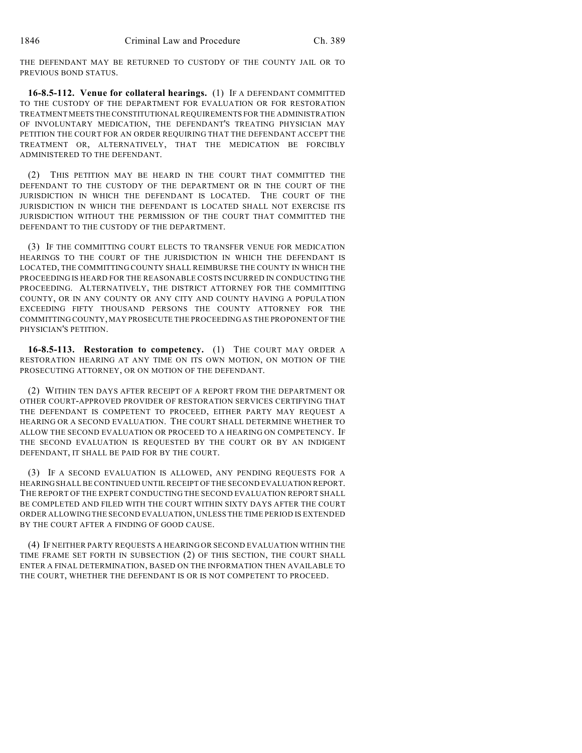THE DEFENDANT MAY BE RETURNED TO CUSTODY OF THE COUNTY JAIL OR TO PREVIOUS BOND STATUS.

**16-8.5-112. Venue for collateral hearings.** (1) IF A DEFENDANT COMMITTED TO THE CUSTODY OF THE DEPARTMENT FOR EVALUATION OR FOR RESTORATION TREATMENT MEETS THE CONSTITUTIONAL REQUIREMENTS FOR THE ADMINISTRATION OF INVOLUNTARY MEDICATION, THE DEFENDANT'S TREATING PHYSICIAN MAY PETITION THE COURT FOR AN ORDER REQUIRING THAT THE DEFENDANT ACCEPT THE TREATMENT OR, ALTERNATIVELY, THAT THE MEDICATION BE FORCIBLY ADMINISTERED TO THE DEFENDANT.

(2) THIS PETITION MAY BE HEARD IN THE COURT THAT COMMITTED THE DEFENDANT TO THE CUSTODY OF THE DEPARTMENT OR IN THE COURT OF THE JURISDICTION IN WHICH THE DEFENDANT IS LOCATED. THE COURT OF THE JURISDICTION IN WHICH THE DEFENDANT IS LOCATED SHALL NOT EXERCISE ITS JURISDICTION WITHOUT THE PERMISSION OF THE COURT THAT COMMITTED THE DEFENDANT TO THE CUSTODY OF THE DEPARTMENT.

(3) IF THE COMMITTING COURT ELECTS TO TRANSFER VENUE FOR MEDICATION HEARINGS TO THE COURT OF THE JURISDICTION IN WHICH THE DEFENDANT IS LOCATED, THE COMMITTING COUNTY SHALL REIMBURSE THE COUNTY IN WHICH THE PROCEEDING IS HEARD FOR THE REASONABLE COSTS INCURRED IN CONDUCTING THE PROCEEDING. ALTERNATIVELY, THE DISTRICT ATTORNEY FOR THE COMMITTING COUNTY, OR IN ANY COUNTY OR ANY CITY AND COUNTY HAVING A POPULATION EXCEEDING FIFTY THOUSAND PERSONS THE COUNTY ATTORNEY FOR THE COMMITTING COUNTY, MAY PROSECUTE THE PROCEEDING AS THE PROPONENT OF THE PHYSICIAN'S PETITION.

**16-8.5-113. Restoration to competency.** (1) THE COURT MAY ORDER A RESTORATION HEARING AT ANY TIME ON ITS OWN MOTION, ON MOTION OF THE PROSECUTING ATTORNEY, OR ON MOTION OF THE DEFENDANT.

(2) WITHIN TEN DAYS AFTER RECEIPT OF A REPORT FROM THE DEPARTMENT OR OTHER COURT-APPROVED PROVIDER OF RESTORATION SERVICES CERTIFYING THAT THE DEFENDANT IS COMPETENT TO PROCEED, EITHER PARTY MAY REQUEST A HEARING OR A SECOND EVALUATION. THE COURT SHALL DETERMINE WHETHER TO ALLOW THE SECOND EVALUATION OR PROCEED TO A HEARING ON COMPETENCY. IF THE SECOND EVALUATION IS REQUESTED BY THE COURT OR BY AN INDIGENT DEFENDANT, IT SHALL BE PAID FOR BY THE COURT.

(3) IF A SECOND EVALUATION IS ALLOWED, ANY PENDING REQUESTS FOR A HEARING SHALL BE CONTINUED UNTIL RECEIPT OF THE SECOND EVALUATION REPORT. THE REPORT OF THE EXPERT CONDUCTING THE SECOND EVALUATION REPORT SHALL BE COMPLETED AND FILED WITH THE COURT WITHIN SIXTY DAYS AFTER THE COURT ORDER ALLOWING THE SECOND EVALUATION, UNLESS THE TIME PERIOD IS EXTENDED BY THE COURT AFTER A FINDING OF GOOD CAUSE.

(4) IF NEITHER PARTY REQUESTS A HEARING OR SECOND EVALUATION WITHIN THE TIME FRAME SET FORTH IN SUBSECTION (2) OF THIS SECTION, THE COURT SHALL ENTER A FINAL DETERMINATION, BASED ON THE INFORMATION THEN AVAILABLE TO THE COURT, WHETHER THE DEFENDANT IS OR IS NOT COMPETENT TO PROCEED.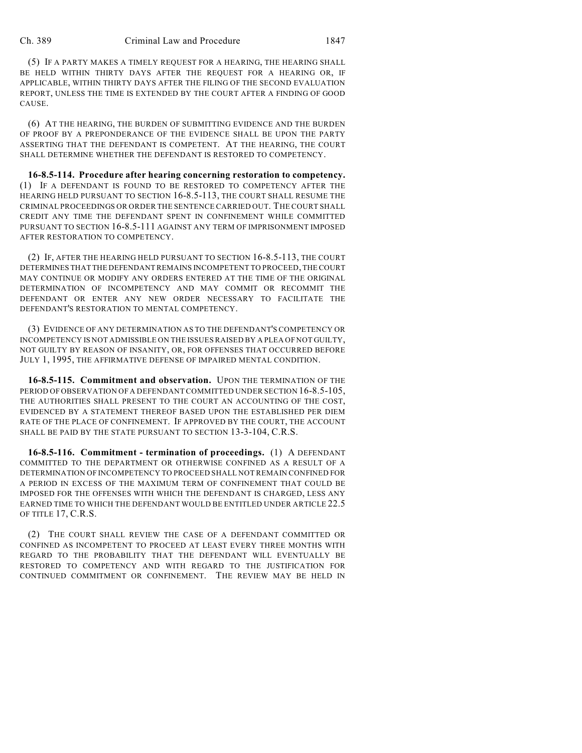(5) IF A PARTY MAKES A TIMELY REQUEST FOR A HEARING, THE HEARING SHALL BE HELD WITHIN THIRTY DAYS AFTER THE REQUEST FOR A HEARING OR, IF APPLICABLE, WITHIN THIRTY DAYS AFTER THE FILING OF THE SECOND EVALUATION REPORT, UNLESS THE TIME IS EXTENDED BY THE COURT AFTER A FINDING OF GOOD CAUSE.

(6) AT THE HEARING, THE BURDEN OF SUBMITTING EVIDENCE AND THE BURDEN OF PROOF BY A PREPONDERANCE OF THE EVIDENCE SHALL BE UPON THE PARTY ASSERTING THAT THE DEFENDANT IS COMPETENT. AT THE HEARING, THE COURT SHALL DETERMINE WHETHER THE DEFENDANT IS RESTORED TO COMPETENCY.

**16-8.5-114. Procedure after hearing concerning restoration to competency.** (1) IF A DEFENDANT IS FOUND TO BE RESTORED TO COMPETENCY AFTER THE HEARING HELD PURSUANT TO SECTION 16-8.5-113, THE COURT SHALL RESUME THE CRIMINAL PROCEEDINGS OR ORDER THE SENTENCE CARRIED OUT. THE COURT SHALL CREDIT ANY TIME THE DEFENDANT SPENT IN CONFINEMENT WHILE COMMITTED PURSUANT TO SECTION 16-8.5-111 AGAINST ANY TERM OF IMPRISONMENT IMPOSED AFTER RESTORATION TO COMPETENCY.

(2) IF, AFTER THE HEARING HELD PURSUANT TO SECTION 16-8.5-113, THE COURT DETERMINES THAT THE DEFENDANT REMAINS INCOMPETENT TO PROCEED, THE COURT MAY CONTINUE OR MODIFY ANY ORDERS ENTERED AT THE TIME OF THE ORIGINAL DETERMINATION OF INCOMPETENCY AND MAY COMMIT OR RECOMMIT THE DEFENDANT OR ENTER ANY NEW ORDER NECESSARY TO FACILITATE THE DEFENDANT'S RESTORATION TO MENTAL COMPETENCY.

(3) EVIDENCE OF ANY DETERMINATION AS TO THE DEFENDANT'S COMPETENCY OR INCOMPETENCY IS NOT ADMISSIBLE ON THE ISSUES RAISED BY A PLEA OF NOT GUILTY, NOT GUILTY BY REASON OF INSANITY, OR, FOR OFFENSES THAT OCCURRED BEFORE JULY 1, 1995, THE AFFIRMATIVE DEFENSE OF IMPAIRED MENTAL CONDITION.

**16-8.5-115. Commitment and observation.** UPON THE TERMINATION OF THE PERIOD OF OBSERVATION OF A DEFENDANT COMMITTED UNDER SECTION 16-8.5-105, THE AUTHORITIES SHALL PRESENT TO THE COURT AN ACCOUNTING OF THE COST, EVIDENCED BY A STATEMENT THEREOF BASED UPON THE ESTABLISHED PER DIEM RATE OF THE PLACE OF CONFINEMENT. IF APPROVED BY THE COURT, THE ACCOUNT SHALL BE PAID BY THE STATE PURSUANT TO SECTION 13-3-104, C.R.S.

**16-8.5-116. Commitment - termination of proceedings.** (1) A DEFENDANT COMMITTED TO THE DEPARTMENT OR OTHERWISE CONFINED AS A RESULT OF A DETERMINATION OF INCOMPETENCY TO PROCEED SHALL NOT REMAIN CONFINED FOR A PERIOD IN EXCESS OF THE MAXIMUM TERM OF CONFINEMENT THAT COULD BE IMPOSED FOR THE OFFENSES WITH WHICH THE DEFENDANT IS CHARGED, LESS ANY EARNED TIME TO WHICH THE DEFENDANT WOULD BE ENTITLED UNDER ARTICLE 22.5 OF TITLE 17, C.R.S.

(2) THE COURT SHALL REVIEW THE CASE OF A DEFENDANT COMMITTED OR CONFINED AS INCOMPETENT TO PROCEED AT LEAST EVERY THREE MONTHS WITH REGARD TO THE PROBABILITY THAT THE DEFENDANT WILL EVENTUALLY BE RESTORED TO COMPETENCY AND WITH REGARD TO THE JUSTIFICATION FOR CONTINUED COMMITMENT OR CONFINEMENT. THE REVIEW MAY BE HELD IN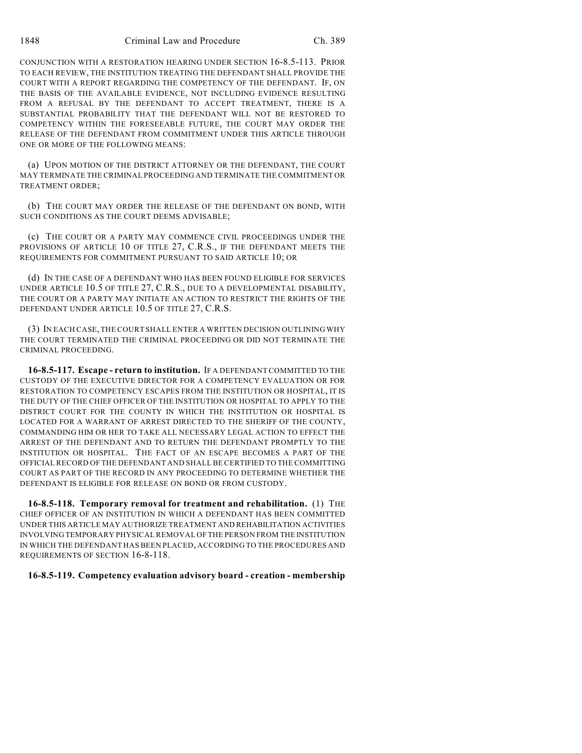CONJUNCTION WITH A RESTORATION HEARING UNDER SECTION 16-8.5-113. PRIOR TO EACH REVIEW, THE INSTITUTION TREATING THE DEFENDANT SHALL PROVIDE THE COURT WITH A REPORT REGARDING THE COMPETENCY OF THE DEFENDANT. IF, ON THE BASIS OF THE AVAILABLE EVIDENCE, NOT INCLUDING EVIDENCE RESULTING FROM A REFUSAL BY THE DEFENDANT TO ACCEPT TREATMENT, THERE IS A SUBSTANTIAL PROBABILITY THAT THE DEFENDANT WILL NOT BE RESTORED TO COMPETENCY WITHIN THE FORESEEABLE FUTURE, THE COURT MAY ORDER THE RELEASE OF THE DEFENDANT FROM COMMITMENT UNDER THIS ARTICLE THROUGH ONE OR MORE OF THE FOLLOWING MEANS:

(a) UPON MOTION OF THE DISTRICT ATTORNEY OR THE DEFENDANT, THE COURT MAY TERMINATE THE CRIMINAL PROCEEDING AND TERMINATE THE COMMITMENT OR TREATMENT ORDER;

(b) THE COURT MAY ORDER THE RELEASE OF THE DEFENDANT ON BOND, WITH SUCH CONDITIONS AS THE COURT DEEMS ADVISABLE;

(c) THE COURT OR A PARTY MAY COMMENCE CIVIL PROCEEDINGS UNDER THE PROVISIONS OF ARTICLE 10 OF TITLE 27, C.R.S., IF THE DEFENDANT MEETS THE REQUIREMENTS FOR COMMITMENT PURSUANT TO SAID ARTICLE 10; OR

(d) IN THE CASE OF A DEFENDANT WHO HAS BEEN FOUND ELIGIBLE FOR SERVICES UNDER ARTICLE 10.5 OF TITLE 27, C.R.S., DUE TO A DEVELOPMENTAL DISABILITY, THE COURT OR A PARTY MAY INITIATE AN ACTION TO RESTRICT THE RIGHTS OF THE DEFENDANT UNDER ARTICLE 10.5 OF TITLE 27, C.R.S.

(3) IN EACH CASE, THE COURT SHALL ENTER A WRITTEN DECISION OUTLINING WHY THE COURT TERMINATED THE CRIMINAL PROCEEDING OR DID NOT TERMINATE THE CRIMINAL PROCEEDING.

**16-8.5-117. Escape - return to institution.** IF A DEFENDANT COMMITTED TO THE CUSTODY OF THE EXECUTIVE DIRECTOR FOR A COMPETENCY EVALUATION OR FOR RESTORATION TO COMPETENCY ESCAPES FROM THE INSTITUTION OR HOSPITAL, IT IS THE DUTY OF THE CHIEF OFFICER OF THE INSTITUTION OR HOSPITAL TO APPLY TO THE DISTRICT COURT FOR THE COUNTY IN WHICH THE INSTITUTION OR HOSPITAL IS LOCATED FOR A WARRANT OF ARREST DIRECTED TO THE SHERIFF OF THE COUNTY, COMMANDING HIM OR HER TO TAKE ALL NECESSARY LEGAL ACTION TO EFFECT THE ARREST OF THE DEFENDANT AND TO RETURN THE DEFENDANT PROMPTLY TO THE INSTITUTION OR HOSPITAL. THE FACT OF AN ESCAPE BECOMES A PART OF THE OFFICIAL RECORD OF THE DEFENDANT AND SHALL BE CERTIFIED TO THE COMMITTING COURT AS PART OF THE RECORD IN ANY PROCEEDING TO DETERMINE WHETHER THE DEFENDANT IS ELIGIBLE FOR RELEASE ON BOND OR FROM CUSTODY.

**16-8.5-118. Temporary removal for treatment and rehabilitation.** (1) THE CHIEF OFFICER OF AN INSTITUTION IN WHICH A DEFENDANT HAS BEEN COMMITTED UNDER THIS ARTICLE MAY AUTHORIZE TREATMENT AND REHABILITATION ACTIVITIES INVOLVING TEMPORARY PHYSICAL REMOVAL OF THE PERSON FROM THE INSTITUTION IN WHICH THE DEFENDANT HAS BEEN PLACED, ACCORDING TO THE PROCEDURES AND REQUIREMENTS OF SECTION 16-8-118.

#### **16-8.5-119. Competency evaluation advisory board - creation - membership**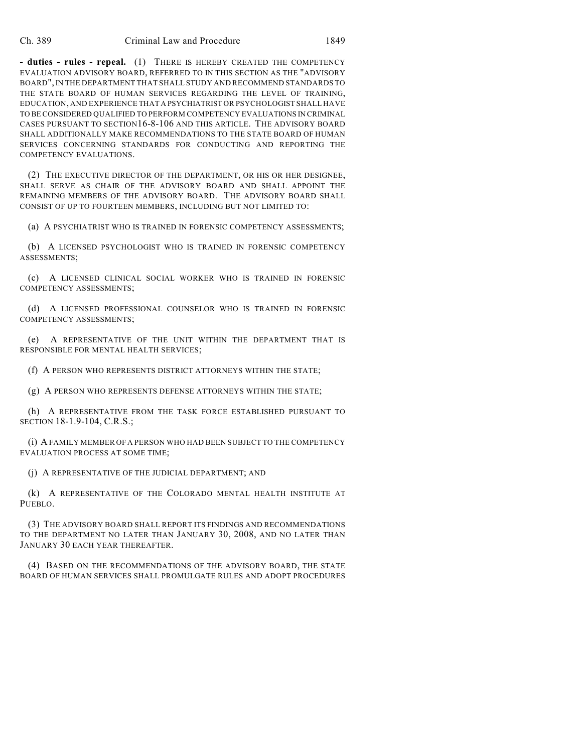**- duties - rules - repeal.** (1) THERE IS HEREBY CREATED THE COMPETENCY EVALUATION ADVISORY BOARD, REFERRED TO IN THIS SECTION AS THE "ADVISORY BOARD", IN THE DEPARTMENT THAT SHALL STUDY AND RECOMMEND STANDARDS TO THE STATE BOARD OF HUMAN SERVICES REGARDING THE LEVEL OF TRAINING, EDUCATION, AND EXPERIENCE THAT A PSYCHIATRIST OR PSYCHOLOGIST SHALL HAVE TO BE CONSIDERED QUALIFIED TO PERFORM COMPETENCY EVALUATIONS IN CRIMINAL CASES PURSUANT TO SECTION16-8-106 AND THIS ARTICLE. THE ADVISORY BOARD SHALL ADDITIONALLY MAKE RECOMMENDATIONS TO THE STATE BOARD OF HUMAN SERVICES CONCERNING STANDARDS FOR CONDUCTING AND REPORTING THE COMPETENCY EVALUATIONS.

(2) THE EXECUTIVE DIRECTOR OF THE DEPARTMENT, OR HIS OR HER DESIGNEE, SHALL SERVE AS CHAIR OF THE ADVISORY BOARD AND SHALL APPOINT THE REMAINING MEMBERS OF THE ADVISORY BOARD. THE ADVISORY BOARD SHALL CONSIST OF UP TO FOURTEEN MEMBERS, INCLUDING BUT NOT LIMITED TO:

(a) A PSYCHIATRIST WHO IS TRAINED IN FORENSIC COMPETENCY ASSESSMENTS;

(b) A LICENSED PSYCHOLOGIST WHO IS TRAINED IN FORENSIC COMPETENCY ASSESSMENTS;

(c) A LICENSED CLINICAL SOCIAL WORKER WHO IS TRAINED IN FORENSIC COMPETENCY ASSESSMENTS;

(d) A LICENSED PROFESSIONAL COUNSELOR WHO IS TRAINED IN FORENSIC COMPETENCY ASSESSMENTS;

(e) A REPRESENTATIVE OF THE UNIT WITHIN THE DEPARTMENT THAT IS RESPONSIBLE FOR MENTAL HEALTH SERVICES;

(f) A PERSON WHO REPRESENTS DISTRICT ATTORNEYS WITHIN THE STATE;

(g) A PERSON WHO REPRESENTS DEFENSE ATTORNEYS WITHIN THE STATE;

(h) A REPRESENTATIVE FROM THE TASK FORCE ESTABLISHED PURSUANT TO SECTION 18-1.9-104, C.R.S.;

(i) A FAMILY MEMBER OF A PERSON WHO HAD BEEN SUBJECT TO THE COMPETENCY EVALUATION PROCESS AT SOME TIME;

(j) A REPRESENTATIVE OF THE JUDICIAL DEPARTMENT; AND

(k) A REPRESENTATIVE OF THE COLORADO MENTAL HEALTH INSTITUTE AT PUEBLO.

(3) THE ADVISORY BOARD SHALL REPORT ITS FINDINGS AND RECOMMENDATIONS TO THE DEPARTMENT NO LATER THAN JANUARY 30, 2008, AND NO LATER THAN JANUARY 30 EACH YEAR THEREAFTER.

(4) BASED ON THE RECOMMENDATIONS OF THE ADVISORY BOARD, THE STATE BOARD OF HUMAN SERVICES SHALL PROMULGATE RULES AND ADOPT PROCEDURES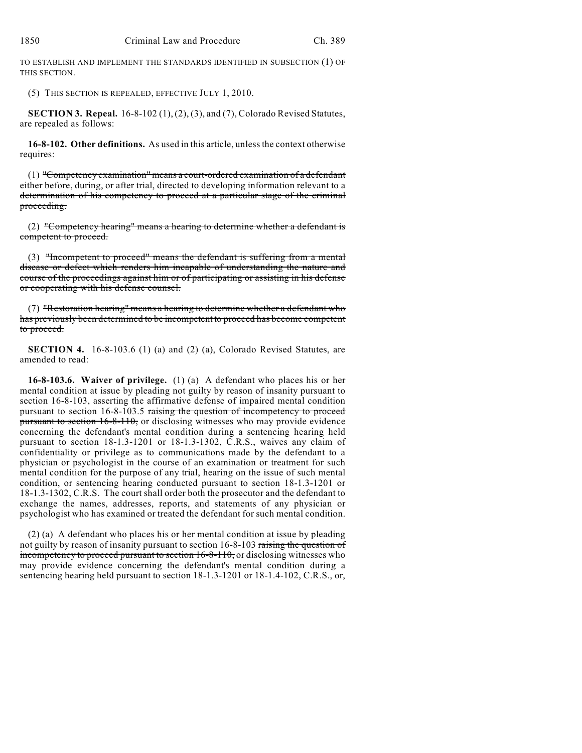TO ESTABLISH AND IMPLEMENT THE STANDARDS IDENTIFIED IN SUBSECTION (1) OF THIS SECTION.

(5) THIS SECTION IS REPEALED, EFFECTIVE JULY 1, 2010.

**SECTION 3. Repeal.** 16-8-102 (1), (2), (3), and (7), Colorado Revised Statutes, are repealed as follows:

**16-8-102. Other definitions.** As used in this article, unless the context otherwise requires:

(1) "Competency examination" means a court-ordered examination of a defendant either before, during, or after trial, directed to developing information relevant to a determination of his competency to proceed at a particular stage of the criminal proceeding.

(2) "Competency hearing" means a hearing to determine whether a defendant is competent to proceed.

(3) "Incompetent to proceed" means the defendant is suffering from a mental disease or defect which renders him incapable of understanding the nature and course of the proceedings against him or of participating or assisting in his defense or cooperating with his defense counsel.

(7) "Restoration hearing" means a hearing to determine whether a defendant who has previously been determined to be incompetent to proceed has become competent to proceed.

**SECTION 4.** 16-8-103.6 (1) (a) and (2) (a), Colorado Revised Statutes, are amended to read:

**16-8-103.6. Waiver of privilege.** (1) (a) A defendant who places his or her mental condition at issue by pleading not guilty by reason of insanity pursuant to section 16-8-103, asserting the affirmative defense of impaired mental condition pursuant to section 16-8-103.5 raising the question of incompetency to proceed pursuant to section 16-8-110, or disclosing witnesses who may provide evidence concerning the defendant's mental condition during a sentencing hearing held pursuant to section 18-1.3-1201 or 18-1.3-1302, C.R.S., waives any claim of confidentiality or privilege as to communications made by the defendant to a physician or psychologist in the course of an examination or treatment for such mental condition for the purpose of any trial, hearing on the issue of such mental condition, or sentencing hearing conducted pursuant to section 18-1.3-1201 or 18-1.3-1302, C.R.S. The court shall order both the prosecutor and the defendant to exchange the names, addresses, reports, and statements of any physician or psychologist who has examined or treated the defendant for such mental condition.

(2) (a) A defendant who places his or her mental condition at issue by pleading not guilty by reason of insanity pursuant to section 16-8-103 raising the question of incompetency to proceed pursuant to section  $16-8-110$ , or disclosing witnesses who may provide evidence concerning the defendant's mental condition during a sentencing hearing held pursuant to section 18-1.3-1201 or 18-1.4-102, C.R.S., or,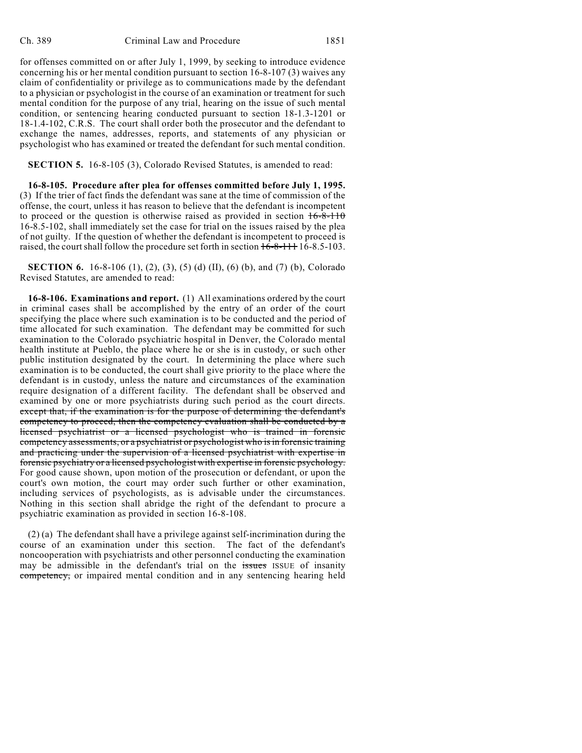for offenses committed on or after July 1, 1999, by seeking to introduce evidence concerning his or her mental condition pursuant to section 16-8-107 (3) waives any claim of confidentiality or privilege as to communications made by the defendant to a physician or psychologist in the course of an examination or treatment for such mental condition for the purpose of any trial, hearing on the issue of such mental condition, or sentencing hearing conducted pursuant to section 18-1.3-1201 or 18-1.4-102, C.R.S. The court shall order both the prosecutor and the defendant to exchange the names, addresses, reports, and statements of any physician or psychologist who has examined or treated the defendant for such mental condition.

**SECTION 5.** 16-8-105 (3), Colorado Revised Statutes, is amended to read:

**16-8-105. Procedure after plea for offenses committed before July 1, 1995.** (3) If the trier of fact finds the defendant was sane at the time of commission of the offense, the court, unless it has reason to believe that the defendant is incompetent to proceed or the question is otherwise raised as provided in section  $16-8-110$ 16-8.5-102, shall immediately set the case for trial on the issues raised by the plea of not guilty. If the question of whether the defendant is incompetent to proceed is raised, the court shall follow the procedure set forth in section  $16-8-111+16-8.5-103$ .

**SECTION 6.** 16-8-106 (1), (2), (3), (5) (d) (II), (6) (b), and (7) (b), Colorado Revised Statutes, are amended to read:

**16-8-106. Examinations and report.** (1) All examinations ordered by the court in criminal cases shall be accomplished by the entry of an order of the court specifying the place where such examination is to be conducted and the period of time allocated for such examination. The defendant may be committed for such examination to the Colorado psychiatric hospital in Denver, the Colorado mental health institute at Pueblo, the place where he or she is in custody, or such other public institution designated by the court. In determining the place where such examination is to be conducted, the court shall give priority to the place where the defendant is in custody, unless the nature and circumstances of the examination require designation of a different facility. The defendant shall be observed and examined by one or more psychiatrists during such period as the court directs. except that, if the examination is for the purpose of determining the defendant's competency to proceed, then the competency evaluation shall be conducted by a licensed psychiatrist or a licensed psychologist who is trained in forensic competency assessments, or a psychiatrist or psychologist who is in forensic training and practicing under the supervision of a licensed psychiatrist with expertise in forensic psychiatry or a licensed psychologist with expertise in forensic psychology. For good cause shown, upon motion of the prosecution or defendant, or upon the court's own motion, the court may order such further or other examination, including services of psychologists, as is advisable under the circumstances. Nothing in this section shall abridge the right of the defendant to procure a psychiatric examination as provided in section 16-8-108.

(2) (a) The defendant shall have a privilege against self-incrimination during the course of an examination under this section. The fact of the defendant's noncooperation with psychiatrists and other personnel conducting the examination may be admissible in the defendant's trial on the issues ISSUE of insanity competency, or impaired mental condition and in any sentencing hearing held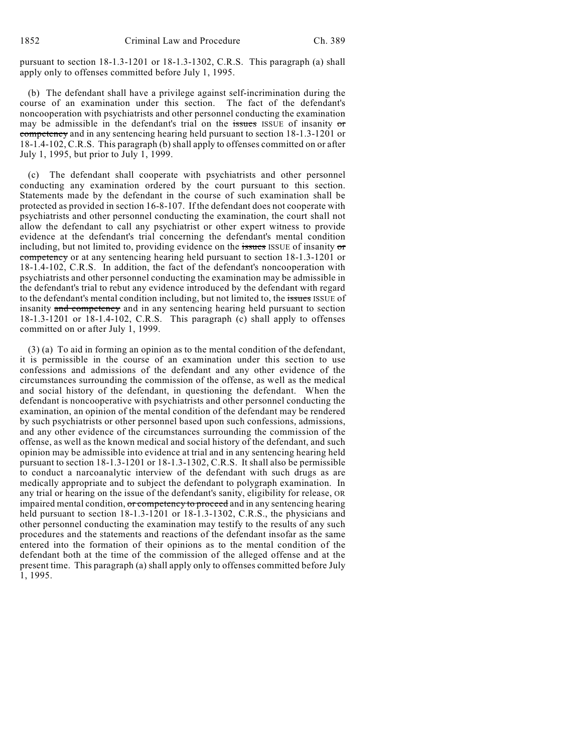pursuant to section 18-1.3-1201 or 18-1.3-1302, C.R.S. This paragraph (a) shall apply only to offenses committed before July 1, 1995.

(b) The defendant shall have a privilege against self-incrimination during the course of an examination under this section. The fact of the defendant's noncooperation with psychiatrists and other personnel conducting the examination may be admissible in the defendant's trial on the issues ISSUE of insanity or competency and in any sentencing hearing held pursuant to section 18-1.3-1201 or 18-1.4-102, C.R.S. This paragraph (b) shall apply to offenses committed on or after July 1, 1995, but prior to July 1, 1999.

(c) The defendant shall cooperate with psychiatrists and other personnel conducting any examination ordered by the court pursuant to this section. Statements made by the defendant in the course of such examination shall be protected as provided in section 16-8-107. If the defendant does not cooperate with psychiatrists and other personnel conducting the examination, the court shall not allow the defendant to call any psychiatrist or other expert witness to provide evidence at the defendant's trial concerning the defendant's mental condition including, but not limited to, providing evidence on the issues ISSUE of insanity or competency or at any sentencing hearing held pursuant to section 18-1.3-1201 or 18-1.4-102, C.R.S. In addition, the fact of the defendant's noncooperation with psychiatrists and other personnel conducting the examination may be admissible in the defendant's trial to rebut any evidence introduced by the defendant with regard to the defendant's mental condition including, but not limited to, the issues ISSUE of insanity and competency and in any sentencing hearing held pursuant to section 18-1.3-1201 or 18-1.4-102, C.R.S. This paragraph (c) shall apply to offenses committed on or after July 1, 1999.

(3) (a) To aid in forming an opinion as to the mental condition of the defendant, it is permissible in the course of an examination under this section to use confessions and admissions of the defendant and any other evidence of the circumstances surrounding the commission of the offense, as well as the medical and social history of the defendant, in questioning the defendant. When the defendant is noncooperative with psychiatrists and other personnel conducting the examination, an opinion of the mental condition of the defendant may be rendered by such psychiatrists or other personnel based upon such confessions, admissions, and any other evidence of the circumstances surrounding the commission of the offense, as well as the known medical and social history of the defendant, and such opinion may be admissible into evidence at trial and in any sentencing hearing held pursuant to section 18-1.3-1201 or 18-1.3-1302, C.R.S. It shall also be permissible to conduct a narcoanalytic interview of the defendant with such drugs as are medically appropriate and to subject the defendant to polygraph examination. In any trial or hearing on the issue of the defendant's sanity, eligibility for release, OR impaired mental condition, or competency to proceed and in any sentencing hearing held pursuant to section  $18-1.3-1201$  or  $18-1.3-1302$ , C.R.S., the physicians and other personnel conducting the examination may testify to the results of any such procedures and the statements and reactions of the defendant insofar as the same entered into the formation of their opinions as to the mental condition of the defendant both at the time of the commission of the alleged offense and at the present time. This paragraph (a) shall apply only to offenses committed before July 1, 1995.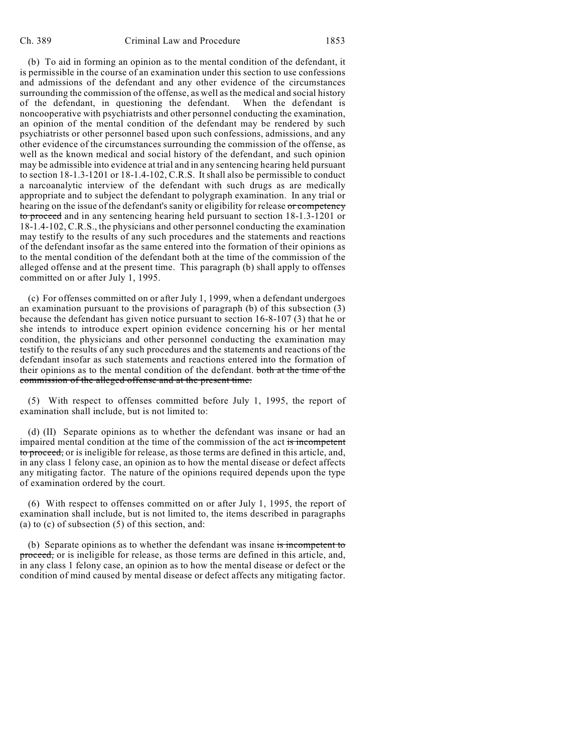(b) To aid in forming an opinion as to the mental condition of the defendant, it is permissible in the course of an examination under this section to use confessions and admissions of the defendant and any other evidence of the circumstances surrounding the commission of the offense, as well as the medical and social history of the defendant, in questioning the defendant. When the defendant is noncooperative with psychiatrists and other personnel conducting the examination, an opinion of the mental condition of the defendant may be rendered by such psychiatrists or other personnel based upon such confessions, admissions, and any other evidence of the circumstances surrounding the commission of the offense, as well as the known medical and social history of the defendant, and such opinion may be admissible into evidence at trial and in any sentencing hearing held pursuant to section 18-1.3-1201 or 18-1.4-102, C.R.S. It shall also be permissible to conduct a narcoanalytic interview of the defendant with such drugs as are medically appropriate and to subject the defendant to polygraph examination. In any trial or hearing on the issue of the defendant's sanity or eligibility for release or competency to proceed and in any sentencing hearing held pursuant to section 18-1.3-1201 or 18-1.4-102, C.R.S., the physicians and other personnel conducting the examination may testify to the results of any such procedures and the statements and reactions of the defendant insofar as the same entered into the formation of their opinions as to the mental condition of the defendant both at the time of the commission of the alleged offense and at the present time. This paragraph (b) shall apply to offenses committed on or after July 1, 1995.

(c) For offenses committed on or after July 1, 1999, when a defendant undergoes an examination pursuant to the provisions of paragraph (b) of this subsection (3) because the defendant has given notice pursuant to section 16-8-107 (3) that he or she intends to introduce expert opinion evidence concerning his or her mental condition, the physicians and other personnel conducting the examination may testify to the results of any such procedures and the statements and reactions of the defendant insofar as such statements and reactions entered into the formation of their opinions as to the mental condition of the defendant. both at the time of the commission of the alleged offense and at the present time.

(5) With respect to offenses committed before July 1, 1995, the report of examination shall include, but is not limited to:

(d) (II) Separate opinions as to whether the defendant was insane or had an impaired mental condition at the time of the commission of the act is incompetent to proceed, or is ineligible for release, as those terms are defined in this article, and, in any class 1 felony case, an opinion as to how the mental disease or defect affects any mitigating factor. The nature of the opinions required depends upon the type of examination ordered by the court.

(6) With respect to offenses committed on or after July 1, 1995, the report of examination shall include, but is not limited to, the items described in paragraphs (a) to (c) of subsection (5) of this section, and:

(b) Separate opinions as to whether the defendant was insane is incompetent to proceed, or is ineligible for release, as those terms are defined in this article, and, in any class 1 felony case, an opinion as to how the mental disease or defect or the condition of mind caused by mental disease or defect affects any mitigating factor.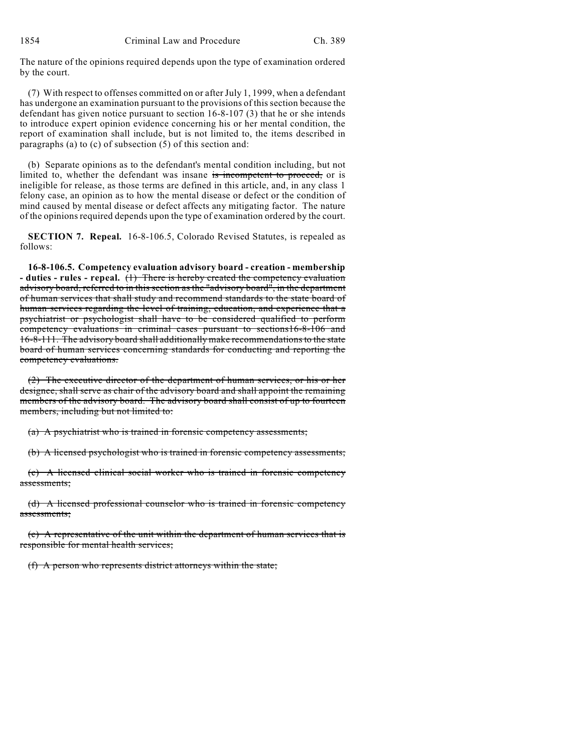The nature of the opinions required depends upon the type of examination ordered by the court.

(7) With respect to offenses committed on or after July 1, 1999, when a defendant has undergone an examination pursuant to the provisions of this section because the defendant has given notice pursuant to section 16-8-107 (3) that he or she intends to introduce expert opinion evidence concerning his or her mental condition, the report of examination shall include, but is not limited to, the items described in paragraphs (a) to (c) of subsection (5) of this section and:

(b) Separate opinions as to the defendant's mental condition including, but not limited to, whether the defendant was insane is incompetent to proceed, or is ineligible for release, as those terms are defined in this article, and, in any class 1 felony case, an opinion as to how the mental disease or defect or the condition of mind caused by mental disease or defect affects any mitigating factor. The nature of the opinions required depends upon the type of examination ordered by the court.

**SECTION 7. Repeal.** 16-8-106.5, Colorado Revised Statutes, is repealed as follows:

**16-8-106.5. Competency evaluation advisory board - creation - membership - duties - rules - repeal.** (1) There is hereby created the competency evaluation advisory board, referred to in this section as the "advisory board", in the department of human services that shall study and recommend standards to the state board of human services regarding the level of training, education, and experience that a psychiatrist or psychologist shall have to be considered qualified to perform competency evaluations in criminal cases pursuant to sections16-8-106 and 16-8-111. The advisory board shall additionally make recommendations to the state board of human services concerning standards for conducting and reporting the competency evaluations.

(2) The executive director of the department of human services, or his or her designee, shall serve as chair of the advisory board and shall appoint the remaining members of the advisory board. The advisory board shall consist of up to fourteen members, including but not limited to:

(a) A psychiatrist who is trained in forensic competency assessments;

(b) A licensed psychologist who is trained in forensic competency assessments;

(c) A licensed clinical social worker who is trained in forensic competency assessments;

(d) A licensed professional counselor who is trained in forensic competency assessments;

(e) A representative of the unit within the department of human services that is responsible for mental health services;

(f) A person who represents district attorneys within the state;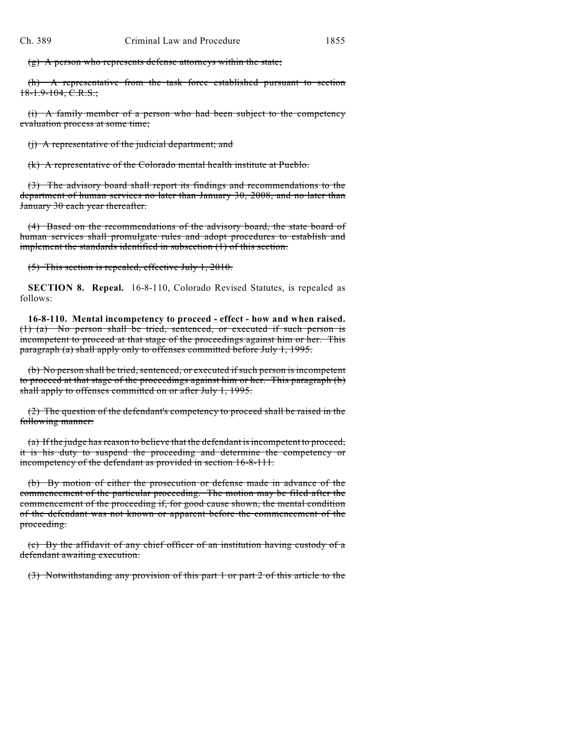$(g)$  A person who represents defense attorneys within the state;

(h) A representative from the task force established pursuant to section 18-1.9-104, C.R.S.;

(i) A family member of a person who had been subject to the competency evaluation process at some time;

(j) A representative of the judicial department; and

(k) A representative of the Colorado mental health institute at Pueblo.

(3) The advisory board shall report its findings and recommendations to the department of human services no later than January 30, 2008, and no later than January 30 each year thereafter.

(4) Based on the recommendations of the advisory board, the state board of human services shall promulgate rules and adopt procedures to establish and implement the standards identified in subsection (1) of this section.

(5) This section is repealed, effective July 1, 2010.

**SECTION 8. Repeal.** 16-8-110, Colorado Revised Statutes, is repealed as follows:

**16-8-110. Mental incompetency to proceed - effect - how and when raised.** (1) (a) No person shall be tried, sentenced, or executed if such person is incompetent to proceed at that stage of the proceedings against him or her. This paragraph (a) shall apply only to offenses committed before July 1, 1995.

(b) No person shall be tried, sentenced, or executed if such person is incompetent to proceed at that stage of the proceedings against him or her. This paragraph (b) shall apply to offenses committed on or after July 1, 1995.

(2) The question of the defendant's competency to proceed shall be raised in the following manner:

(a) If the judge has reason to believe that the defendant is incompetent to proceed, it is his duty to suspend the proceeding and determine the competency or incompetency of the defendant as provided in section 16-8-111.

(b) By motion of either the prosecution or defense made in advance of the commencement of the particular proceeding. The motion may be filed after the commencement of the proceeding if, for good cause shown, the mental condition of the defendant was not known or apparent before the commencement of the proceeding.

(c) By the affidavit of any chief officer of an institution having custody of a defendant awaiting execution.

(3) Notwithstanding any provision of this part 1 or part 2 of this article to the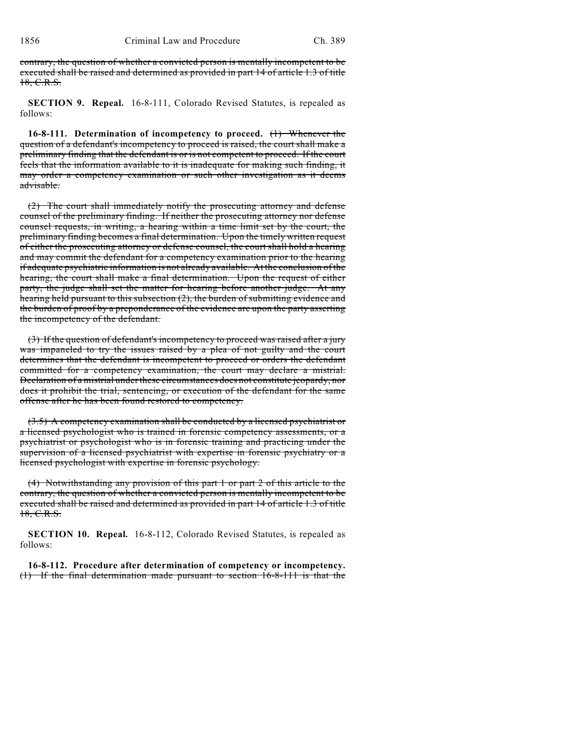contrary, the question of whether a convicted person is mentally incompetent to be executed shall be raised and determined as provided in part 14 of article 1.3 of title 18, C.R.S.

**SECTION 9. Repeal.** 16-8-111, Colorado Revised Statutes, is repealed as follows:

**16-8-111. Determination of incompetency to proceed.** (1) Whenever the question of a defendant's incompetency to proceed is raised, the court shall make a preliminary finding that the defendant is or is not competent to proceed. If the court feels that the information available to it is inadequate for making such finding, it may order a competency examination or such other investigation as it deems advisable.

(2) The court shall immediately notify the prosecuting attorney and defense counsel of the preliminary finding. If neither the prosecuting attorney nor defense counsel requests, in writing, a hearing within a time limit set by the court, the preliminary finding becomes a final determination. Upon the timely written request of either the prosecuting attorney or defense counsel, the court shall hold a hearing and may commit the defendant for a competency examination prior to the hearing if adequate psychiatric information is not already available. At the conclusion of the hearing, the court shall make a final determination. Upon the request of either party, the judge shall set the matter for hearing before another judge. At any hearing held pursuant to this subsection (2), the burden of submitting evidence and the burden of proof by a preponderance of the evidence are upon the party asserting the incompetency of the defendant.

(3) If the question of defendant's incompetency to proceed was raised after a jury was impaneled to try the issues raised by a plea of not guilty and the court determines that the defendant is incompetent to proceed or orders the defendant committed for a competency examination, the court may declare a mistrial. Declaration of a mistrial under these circumstances does not constitute jeopardy, nor does it prohibit the trial, sentencing, or execution of the defendant for the same offense after he has been found restored to competency.

(3.5) A competency examination shall be conducted by a licensed psychiatrist or a licensed psychologist who is trained in forensic competency assessments, or a psychiatrist or psychologist who is in forensic training and practicing under the supervision of a licensed psychiatrist with expertise in forensic psychiatry or a licensed psychologist with expertise in forensic psychology.

(4) Notwithstanding any provision of this part 1 or part 2 of this article to the contrary, the question of whether a convicted person is mentally incompetent to be executed shall be raised and determined as provided in part 14 of article 1.3 of title 18, C.R.S.

**SECTION 10. Repeal.** 16-8-112, Colorado Revised Statutes, is repealed as follows:

**16-8-112. Procedure after determination of competency or incompetency.** (1) If the final determination made pursuant to section 16-8-111 is that the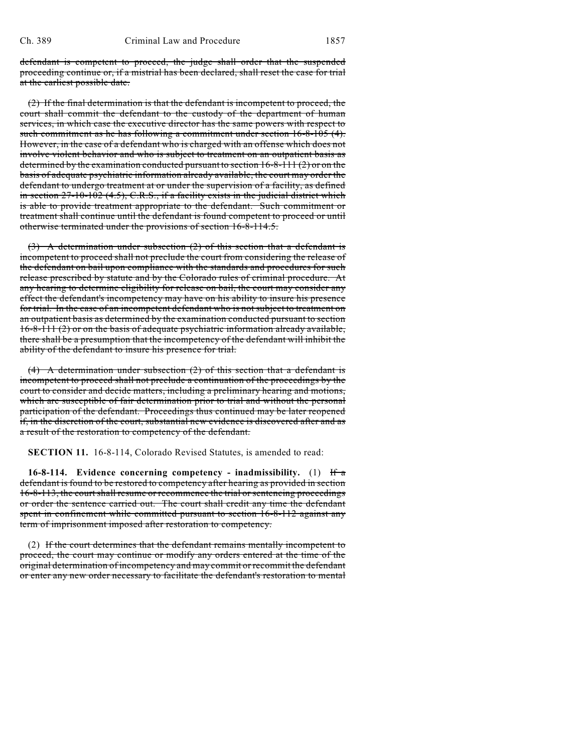defendant is competent to proceed, the judge shall order that the suspended proceeding continue or, if a mistrial has been declared, shall reset the case for trial at the earliest possible date.

(2) If the final determination is that the defendant is incompetent to proceed, the court shall commit the defendant to the custody of the department of human services, in which case the executive director has the same powers with respect to such commitment as he has following a commitment under section 16-8-105 (4). However, in the case of a defendant who is charged with an offense which does not involve violent behavior and who is subject to treatment on an outpatient basis as determined by the examination conducted pursuant to section 16-8-111 (2) or on the basis of adequate psychiatric information already available, the court may order the defendant to undergo treatment at or under the supervision of a facility, as defined in section  $27-10-102$  (4.5), C.R.S., if a facility exists in the judicial district which is able to provide treatment appropriate to the defendant. Such commitment or treatment shall continue until the defendant is found competent to proceed or until otherwise terminated under the provisions of section 16-8-114.5.

(3) A determination under subsection (2) of this section that a defendant is incompetent to proceed shall not preclude the court from considering the release of the defendant on bail upon compliance with the standards and procedures for such release prescribed by statute and by the Colorado rules of criminal procedure. At any hearing to determine eligibility for release on bail, the court may consider any effect the defendant's incompetency may have on his ability to insure his presence for trial. In the case of an incompetent defendant who is not subject to treatment on an outpatient basis as determined by the examination conducted pursuant to section 16-8-111 (2) or on the basis of adequate psychiatric information already available, there shall be a presumption that the incompetency of the defendant will inhibit the ability of the defendant to insure his presence for trial.

(4) A determination under subsection (2) of this section that a defendant is incompetent to proceed shall not preclude a continuation of the proceedings by the court to consider and decide matters, including a preliminary hearing and motions, which are susceptible of fair determination prior to trial and without the personal participation of the defendant. Proceedings thus continued may be later reopened if, in the discretion of the court, substantial new evidence is discovered after and as a result of the restoration to competency of the defendant.

**SECTION 11.** 16-8-114, Colorado Revised Statutes, is amended to read:

**16-8-114. Evidence concerning competency - inadmissibility.** (1) If a defendant is found to be restored to competency after hearing as provided in section 16-8-113, the court shall resume or recommence the trial or sentencing proceedings or order the sentence carried out. The court shall credit any time the defendant spent in confinement while committed pursuant to section 16-8-112 against any term of imprisonment imposed after restoration to competency.

(2) If the court determines that the defendant remains mentally incompetent to proceed, the court may continue or modify any orders entered at the time of the original determination of incompetency and may commit or recommit the defendant or enter any new order necessary to facilitate the defendant's restoration to mental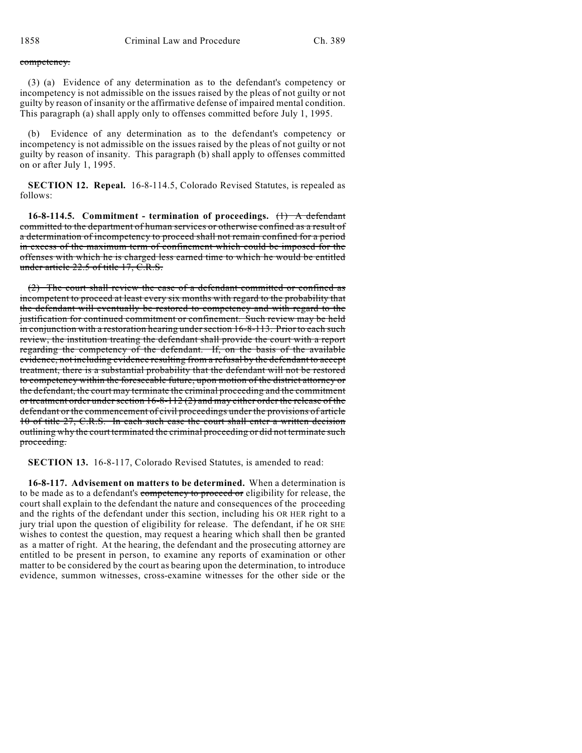### competency.

(3) (a) Evidence of any determination as to the defendant's competency or incompetency is not admissible on the issues raised by the pleas of not guilty or not guilty by reason of insanity or the affirmative defense of impaired mental condition. This paragraph (a) shall apply only to offenses committed before July 1, 1995.

(b) Evidence of any determination as to the defendant's competency or incompetency is not admissible on the issues raised by the pleas of not guilty or not guilty by reason of insanity. This paragraph (b) shall apply to offenses committed on or after July 1, 1995.

**SECTION 12. Repeal.** 16-8-114.5, Colorado Revised Statutes, is repealed as follows:

**16-8-114.5. Commitment - termination of proceedings.** (1) A defendant committed to the department of human services or otherwise confined as a result of a determination of incompetency to proceed shall not remain confined for a period in excess of the maximum term of confinement which could be imposed for the offenses with which he is charged less earned time to which he would be entitled under article 22.5 of title 17, C.R.S.

(2) The court shall review the case of a defendant committed or confined as incompetent to proceed at least every six months with regard to the probability that the defendant will eventually be restored to competency and with regard to the justification for continued commitment or confinement. Such review may be held in conjunction with a restoration hearing under section 16-8-113. Prior to each such review, the institution treating the defendant shall provide the court with a report regarding the competency of the defendant. If, on the basis of the available evidence, not including evidence resulting from a refusal by the defendant to accept treatment, there is a substantial probability that the defendant will not be restored to competency within the foreseeable future, upon motion of the district attorney or the defendant, the court may terminate the criminal proceeding and the commitment or treatment order under section 16-8-112 (2) and may either order the release of the defendant or the commencement of civil proceedings under the provisions of article 10 of title 27, C.R.S. In each such case the court shall enter a written decision outlining why the court terminated the criminal proceeding or did not terminate such proceeding.

**SECTION 13.** 16-8-117, Colorado Revised Statutes, is amended to read:

**16-8-117. Advisement on matters to be determined.** When a determination is to be made as to a defendant's competency to proceed or eligibility for release, the court shall explain to the defendant the nature and consequences of the proceeding and the rights of the defendant under this section, including his OR HER right to a jury trial upon the question of eligibility for release. The defendant, if he OR SHE wishes to contest the question, may request a hearing which shall then be granted as a matter of right. At the hearing, the defendant and the prosecuting attorney are entitled to be present in person, to examine any reports of examination or other matter to be considered by the court as bearing upon the determination, to introduce evidence, summon witnesses, cross-examine witnesses for the other side or the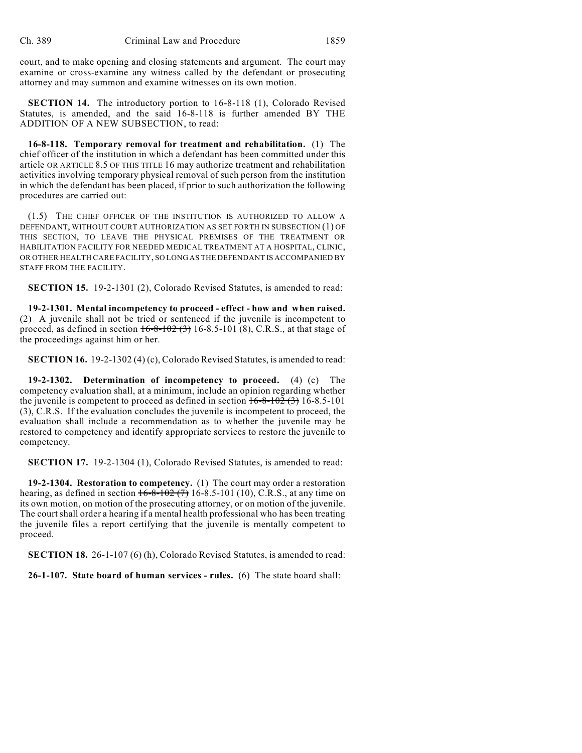court, and to make opening and closing statements and argument. The court may examine or cross-examine any witness called by the defendant or prosecuting attorney and may summon and examine witnesses on its own motion.

**SECTION 14.** The introductory portion to 16-8-118 (1), Colorado Revised Statutes, is amended, and the said 16-8-118 is further amended BY THE ADDITION OF A NEW SUBSECTION, to read:

**16-8-118. Temporary removal for treatment and rehabilitation.** (1) The chief officer of the institution in which a defendant has been committed under this article OR ARTICLE 8.5 OF THIS TITLE 16 may authorize treatment and rehabilitation activities involving temporary physical removal of such person from the institution in which the defendant has been placed, if prior to such authorization the following procedures are carried out:

(1.5) THE CHIEF OFFICER OF THE INSTITUTION IS AUTHORIZED TO ALLOW A DEFENDANT, WITHOUT COURT AUTHORIZATION AS SET FORTH IN SUBSECTION (1) OF THIS SECTION, TO LEAVE THE PHYSICAL PREMISES OF THE TREATMENT OR HABILITATION FACILITY FOR NEEDED MEDICAL TREATMENT AT A HOSPITAL, CLINIC, OR OTHER HEALTH CARE FACILITY, SO LONG AS THE DEFENDANT IS ACCOMPANIED BY STAFF FROM THE FACILITY.

**SECTION 15.** 19-2-1301 (2), Colorado Revised Statutes, is amended to read:

**19-2-1301. Mental incompetency to proceed - effect - how and when raised.** (2) A juvenile shall not be tried or sentenced if the juvenile is incompetent to proceed, as defined in section  $16-8-102$  (3) 16-8.5-101 (8), C.R.S., at that stage of the proceedings against him or her.

**SECTION 16.** 19-2-1302 (4) (c), Colorado Revised Statutes, is amended to read:

**19-2-1302. Determination of incompetency to proceed.** (4) (c) The competency evaluation shall, at a minimum, include an opinion regarding whether the juvenile is competent to proceed as defined in section  $16-8-102(3)$  16-8.5-101 (3), C.R.S. If the evaluation concludes the juvenile is incompetent to proceed, the evaluation shall include a recommendation as to whether the juvenile may be restored to competency and identify appropriate services to restore the juvenile to competency.

**SECTION 17.** 19-2-1304 (1), Colorado Revised Statutes, is amended to read:

**19-2-1304. Restoration to competency.** (1) The court may order a restoration hearing, as defined in section  $16-8-102(7)$  16-8.5-101 (10), C.R.S., at any time on its own motion, on motion of the prosecuting attorney, or on motion of the juvenile. The court shall order a hearing if a mental health professional who has been treating the juvenile files a report certifying that the juvenile is mentally competent to proceed.

**SECTION 18.** 26-1-107 (6) (h), Colorado Revised Statutes, is amended to read:

**26-1-107. State board of human services - rules.** (6) The state board shall: